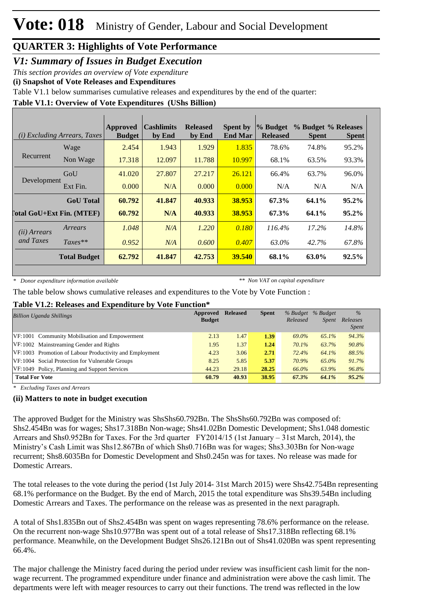*V1: Summary of Issues in Budget Execution*

*This section provides an overview of Vote expenditure* 

**(i) Snapshot of Vote Releases and Expenditures**

Table V1.1 below summarises cumulative releases and expenditures by the end of the quarter:

#### **Table V1.1: Overview of Vote Expenditures (UShs Billion)**

|                                  | ( <i>i</i> ) Excluding Arrears, Taxes | <b>Approved</b><br><b>Budget</b> | <b>Cashlimits</b><br>by End | <b>Released</b><br>by End | <b>Spent by</b><br><b>End Mar</b> | % Budget<br><b>Released</b> | % Budget % Releases<br><b>Spent</b> | <b>Spent</b> |
|----------------------------------|---------------------------------------|----------------------------------|-----------------------------|---------------------------|-----------------------------------|-----------------------------|-------------------------------------|--------------|
|                                  | Wage                                  | 2.454                            | 1.943                       | 1.929                     | 1.835                             | 78.6%                       | 74.8%                               | 95.2%        |
| Recurrent                        | Non Wage                              | 17.318                           | 12.097                      | 11.788                    | 10.997                            | 68.1%                       | 63.5%                               | 93.3%        |
|                                  | GoU                                   | 41.020                           | 27.807                      | 27.217                    | 26.121                            | 66.4%                       | 63.7%                               | 96.0%        |
| Development                      | Ext Fin.                              | 0.000                            | N/A                         | 0.000                     | 0.000                             | N/A                         | N/A                                 | N/A          |
|                                  | <b>GoU</b> Total                      | 60.792                           | 41.847                      | 40.933                    | 38.953                            | 67.3%                       | 64.1%                               | $95.2\%$     |
| <b>Total GoU+Ext Fin. (MTEF)</b> |                                       | 60.792                           | N/A                         | 40.933                    | 38.953                            | 67.3%                       | 64.1%                               | 95.2%        |
| ( <i>ii</i> ) Arrears            | Arrears                               | 1.048                            | N/A                         | 1.220                     | 0.180                             | $116.4\%$                   | 17.2%                               | 14.8%        |
| and Taxes                        | $Taxes**$                             | 0.952                            | N/A                         | 0.600                     | 0.407                             | 63.0%                       | 42.7%                               | 67.8%        |
|                                  | <b>Total Budget</b>                   | 62.792                           | 41.847                      | 42.753                    | 39.540                            | 68.1%                       | 63.0%                               | 92.5%        |

*\* Donor expenditure information available*

*\*\* Non VAT on capital expenditure*

The table below shows cumulative releases and expenditures to the Vote by Vote Function :

#### **Table V1.2: Releases and Expenditure by Vote Function\***

| <b>Billion Uganda Shillings</b>                         | Approved<br><b>Budget</b> | <b>Released</b> | <b>Spent</b> | % Budget<br>Released | % Budget<br><i>Spent</i> | $\%$<br>Releases<br><i>Spent</i> |
|---------------------------------------------------------|---------------------------|-----------------|--------------|----------------------|--------------------------|----------------------------------|
| VF:1001 Community Mobilisation and Empowerment          | 2.13                      | 1.47            | 1.39         | 69.0%                | 65.1%                    | 94.3%                            |
| VF:1002 Mainstreaming Gender and Rights                 | 1.95                      | 1.37            | 1.24         | 70.1%                | 63.7%                    | 90.8%                            |
| VF:1003 Promotion of Labour Productivity and Employment | 4.23                      | 3.06            | 2.71         | 72.4%                | 64.1%                    | 88.5%                            |
| VF:1004 Social Protection for Vulnerable Groups         | 8.25                      | 5.85            | 5.37         | 70.9%                | 65.0%                    | 91.7%                            |
| VF:1049 Policy, Planning and Support Services           | 44.23                     | 29.18           | 28.25        | 66.0%                | 63.9%                    | 96.8%                            |
| <b>Total For Vote</b>                                   | 60.79                     | 40.93           | 38.95        | 67.3%                | 64.1%                    | $95.2\%$                         |

*\* Excluding Taxes and Arrears*

#### **(ii) Matters to note in budget execution**

The approved Budget for the Ministry was ShsShs60.792Bn. The ShsShs60.792Bn was composed of: Shs2.454Bn was for wages; Shs17.318Bn Non-wage; Shs41.02Bn Domestic Development; Shs1.048 domestic Arrears and Shs0.952Bn for Taxes. For the 3rd quarter FY2014/15 (1st January – 31st March, 2014), the Ministry's Cash Limit was Shs12.867Bn of which Shs0.716Bn was for wages; Shs3.303Bn for Non-wage recurrent; Shs8.6035Bn for Domestic Development and Shs0.245n was for taxes. No release was made for Domestic Arrears.

The total releases to the vote during the period (1st July 2014- 31st March 2015) were Shs42.754Bn representing 68.1% performance on the Budget. By the end of March, 2015 the total expenditure was Shs39.54Bn including Domestic Arrears and Taxes. The performance on the release was as presented in the next paragraph.

A total of Shs1.835Bn out of Shs2.454Bn was spent on wages representing 78.6% performance on the release. On the recurrent non-wage Shs10.977Bn was spent out of a total release of Shs17.318Bn reflecting 68.1% performance. Meanwhile, on the Development Budget Shs26.121Bn out of Shs41.020Bn was spent representing 66.4%.

The major challenge the Ministry faced during the period under review was insufficient cash limit for the nonwage recurrent. The programmed expenditure under finance and administration were above the cash limit. The departments were left with meager resources to carry out their functions. The trend was reflected in the low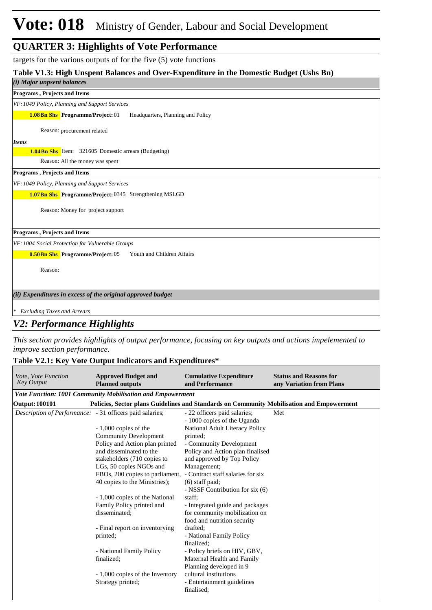targets for the various outputs of for the five (5) vote functions

#### **Table V1.3: High Unspent Balances and Over-Expenditure in the Domestic Budget (Ushs Bn)**

#### *(i) Major unpsent balances* **Programs , Projects and Items**

*VF:1049 Policy, Planning and Support Services*

Headquarters, Planning and Policy **1.08Bn Shs** Programme/Project: 01

Reason: procurement related

#### *Items*

**1.04Bn Shs** Item: 321605 Domestic arrears (Budgeting)

Reason: All the money was spent

**Programs , Projects and Items**

*VF:1049 Policy, Planning and Support Services*

1.07Bn Shs Programme/Project: 0345 Strengthening MSLGD

Reason: Money for project support

**Programs , Projects and Items**

*VF:1004 Social Protection for Vulnerable Groups*

**0.50 Bn Shs** Programme/Project: 05 Youth and Children Affairs

Reason:

#### *(ii) Expenditures in excess of the original approved budget*

*\* Excluding Taxes and Arrears*

#### *V2: Performance Highlights*

*This section provides highlights of output performance, focusing on key outputs and actions impelemented to improve section performance.*

#### **Table V2.1: Key Vote Output Indicators and Expenditures\***

| <i>Vote. Vote Function</i><br><b>Key Output</b>                 | <b>Approved Budget and</b><br><b>Planned outputs</b>                                      | <b>Cumulative Expenditure</b><br>and Performance            | <b>Status and Reasons for</b><br>any Variation from Plans |
|-----------------------------------------------------------------|-------------------------------------------------------------------------------------------|-------------------------------------------------------------|-----------------------------------------------------------|
|                                                                 | Vote Function: 1001 Community Mobilisation and Empowerment                                |                                                             |                                                           |
| <b>Output: 100101</b>                                           | Policies, Sector plans Guidelines and Standards on Community Mobilisation and Empowerment |                                                             |                                                           |
| <i>Description of Performance:</i> - 31 officers paid salaries; |                                                                                           | - 22 officers paid salaries;<br>- 1000 copies of the Uganda | Met                                                       |
|                                                                 | $-1,000$ copies of the                                                                    | <b>National Adult Literacy Policy</b>                       |                                                           |
|                                                                 | <b>Community Development</b>                                                              | printed;                                                    |                                                           |
|                                                                 | Policy and Action plan printed                                                            | - Community Development                                     |                                                           |
|                                                                 | and disseminated to the                                                                   | Policy and Action plan finalised                            |                                                           |
|                                                                 | stakeholders (710 copies to                                                               | and approved by Top Policy                                  |                                                           |
|                                                                 | LGs, 50 copies NGOs and                                                                   | Management:                                                 |                                                           |
|                                                                 | FBOs, 200 copies to parliament, - Contract staff salaries for six                         |                                                             |                                                           |
|                                                                 | 40 copies to the Ministries);                                                             | (6) staff paid;                                             |                                                           |
|                                                                 |                                                                                           | - NSSF Contribution for six (6)                             |                                                           |
|                                                                 | - 1,000 copies of the National                                                            | staff;                                                      |                                                           |
|                                                                 | Family Policy printed and                                                                 | - Integrated guide and packages                             |                                                           |
|                                                                 | disseminated:                                                                             | for community mobilization on                               |                                                           |
|                                                                 |                                                                                           | food and nutrition security                                 |                                                           |
|                                                                 | - Final report on inventorying                                                            | drafted:                                                    |                                                           |
|                                                                 | printed:                                                                                  | - National Family Policy                                    |                                                           |
|                                                                 |                                                                                           | finalized:                                                  |                                                           |
|                                                                 | - National Family Policy                                                                  | - Policy briefs on HIV, GBV,                                |                                                           |
|                                                                 | finalized;                                                                                | Maternal Health and Family                                  |                                                           |
|                                                                 |                                                                                           | Planning developed in 9                                     |                                                           |
|                                                                 | - 1,000 copies of the Inventory                                                           | cultural institutions                                       |                                                           |
|                                                                 | Strategy printed;                                                                         | - Entertainment guidelines                                  |                                                           |
|                                                                 |                                                                                           | finalised;                                                  |                                                           |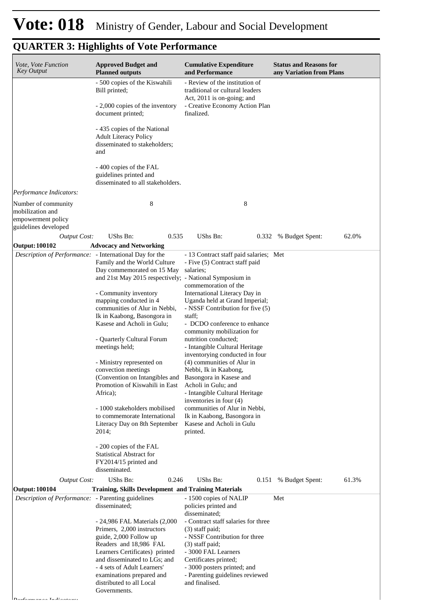*Performance Indicators:*

| Vote, Vote Function<br><b>Key Output</b>                                              | <b>Approved Budget and</b><br><b>Planned outputs</b>                                                                                                                                                                                          | <b>Cumulative Expenditure</b><br>and Performance                                                                                                                                                                               | <b>Status and Reasons for</b><br>any Variation from Plans |
|---------------------------------------------------------------------------------------|-----------------------------------------------------------------------------------------------------------------------------------------------------------------------------------------------------------------------------------------------|--------------------------------------------------------------------------------------------------------------------------------------------------------------------------------------------------------------------------------|-----------------------------------------------------------|
|                                                                                       | - 500 copies of the Kiswahili<br>Bill printed;                                                                                                                                                                                                | - Review of the institution of<br>traditional or cultural leaders<br>Act, 2011 is on-going; and                                                                                                                                |                                                           |
|                                                                                       | - 2,000 copies of the inventory<br>document printed;                                                                                                                                                                                          | - Creative Economy Action Plan<br>finalized.                                                                                                                                                                                   |                                                           |
|                                                                                       | - 435 copies of the National<br><b>Adult Literacy Policy</b><br>disseminated to stakeholders;<br>and                                                                                                                                          |                                                                                                                                                                                                                                |                                                           |
|                                                                                       | - 400 copies of the FAL<br>guidelines printed and<br>disseminated to all stakeholders.                                                                                                                                                        |                                                                                                                                                                                                                                |                                                           |
| Performance Indicators:                                                               |                                                                                                                                                                                                                                               |                                                                                                                                                                                                                                |                                                           |
| Number of community<br>mobilization and<br>empowerment policy<br>guidelines developed | 8                                                                                                                                                                                                                                             | 8                                                                                                                                                                                                                              |                                                           |
| <b>Output Cost:</b>                                                                   | UShs Bn:<br>0.535                                                                                                                                                                                                                             | UShs Bn:                                                                                                                                                                                                                       | 62.0%<br>0.332 % Budget Spent:                            |
| Output: 100102                                                                        | <b>Advocacy and Networking</b>                                                                                                                                                                                                                |                                                                                                                                                                                                                                |                                                           |
| Description of Performance: - International Day for the                               | Family and the World Culture<br>Day commemorated on 15 May<br>and 21st May 2015 respectively; - National Symposium in                                                                                                                         | - 13 Contract staff paid salaries; Met<br>- Five (5) Contract staff paid<br>salaries;                                                                                                                                          |                                                           |
|                                                                                       | - Community inventory<br>mapping conducted in 4<br>communities of Alur in Nebbi,<br>Ik in Kaabong, Basongora in<br>Kasese and Acholi in Gulu;                                                                                                 | commemoration of the<br>International Literacy Day in<br>Uganda held at Grand Imperial;<br>- NSSF Contribution for five (5)<br>staff;<br>- DCDO conference to enhance                                                          |                                                           |
|                                                                                       | - Quarterly Cultural Forum<br>meetings held;                                                                                                                                                                                                  | community mobilization for<br>nutrition conducted;<br>- Intangible Cultural Heritage<br>inventorying conducted in four                                                                                                         |                                                           |
|                                                                                       | - Ministry represented on<br>convection meetings<br>(Convention on Intangibles and<br>Promotion of Kiswahili in East                                                                                                                          | (4) communities of Alur in<br>Nebbi, Ik in Kaabong,<br>Basongora in Kasese and<br>Acholi in Gulu; and                                                                                                                          |                                                           |
|                                                                                       | Africa);                                                                                                                                                                                                                                      | - Intangible Cultural Heritage<br>inventories in four (4)                                                                                                                                                                      |                                                           |
|                                                                                       | - 1000 stakeholders mobilised<br>to commemorate International<br>Literacy Day on 8th September<br>2014;                                                                                                                                       | communities of Alur in Nebbi,<br>Ik in Kaabong, Basongora in<br>Kasese and Acholi in Gulu<br>printed.                                                                                                                          |                                                           |
|                                                                                       | - 200 copies of the FAL<br><b>Statistical Abstract for</b><br>FY2014/15 printed and<br>disseminated.                                                                                                                                          |                                                                                                                                                                                                                                |                                                           |
| <b>Output Cost:</b>                                                                   | UShs Bn:<br>0.246                                                                                                                                                                                                                             | UShs Bn:<br>0.151                                                                                                                                                                                                              | % Budget Spent:<br>61.3%                                  |
| <b>Output: 100104</b>                                                                 | <b>Training, Skills Development and Training Materials</b>                                                                                                                                                                                    |                                                                                                                                                                                                                                |                                                           |
| Description of Performance: - Parenting guidelines                                    | disseminated;                                                                                                                                                                                                                                 | - 1500 copies of NALIP<br>policies printed and<br>disseminated;                                                                                                                                                                | Met                                                       |
|                                                                                       | - 24,986 FAL Materials (2,000<br>Primers, 2,000 instructors<br>guide, 2,000 Follow up<br>Readers and 18,986 FAL<br>Learners Certificates) printed<br>and disseminated to LGs; and<br>- 4 sets of Adult Learners'<br>examinations prepared and | - Contract staff salaries for three<br>(3) staff paid;<br>- NSSF Contribution for three<br>$(3)$ staff paid;<br>- 3000 FAL Learners<br>Certificates printed;<br>- 3000 posters printed; and<br>- Parenting guidelines reviewed |                                                           |
|                                                                                       | distributed to all Local<br>Governments.                                                                                                                                                                                                      | and finalised.                                                                                                                                                                                                                 |                                                           |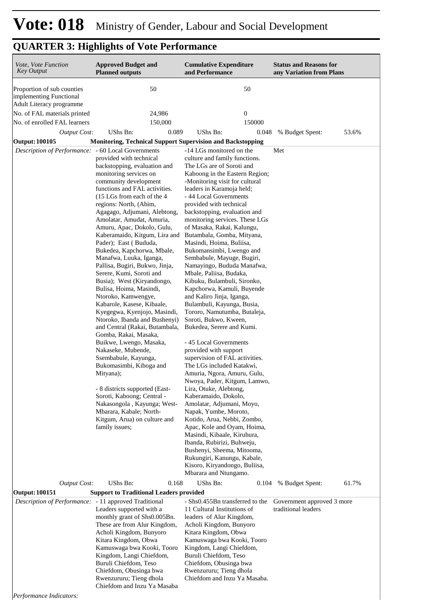| Vote, Vote Function<br>Key Output                                                 | <b>Approved Budget and</b><br><b>Planned outputs</b>                                                                                                                                                                                                                                                                                                                                                                                                                                                                                                                                                                                                                                                                                                                                                                                                                                                                                                                                                                    | <b>Cumulative Expenditure</b><br>and Performance                                                                                                                                                                                                                                                                                                                                                                                                                                                                                                                                                                                                                                                                                                                                                                                                                                                                                                                                                                                                                                                                                                                                                                                                       | <b>Status and Reasons for</b><br>any Variation from Plans |
|-----------------------------------------------------------------------------------|-------------------------------------------------------------------------------------------------------------------------------------------------------------------------------------------------------------------------------------------------------------------------------------------------------------------------------------------------------------------------------------------------------------------------------------------------------------------------------------------------------------------------------------------------------------------------------------------------------------------------------------------------------------------------------------------------------------------------------------------------------------------------------------------------------------------------------------------------------------------------------------------------------------------------------------------------------------------------------------------------------------------------|--------------------------------------------------------------------------------------------------------------------------------------------------------------------------------------------------------------------------------------------------------------------------------------------------------------------------------------------------------------------------------------------------------------------------------------------------------------------------------------------------------------------------------------------------------------------------------------------------------------------------------------------------------------------------------------------------------------------------------------------------------------------------------------------------------------------------------------------------------------------------------------------------------------------------------------------------------------------------------------------------------------------------------------------------------------------------------------------------------------------------------------------------------------------------------------------------------------------------------------------------------|-----------------------------------------------------------|
| Proportion of sub counties<br>implementing Functional<br>Adult Literacy programme | 50                                                                                                                                                                                                                                                                                                                                                                                                                                                                                                                                                                                                                                                                                                                                                                                                                                                                                                                                                                                                                      | 50                                                                                                                                                                                                                                                                                                                                                                                                                                                                                                                                                                                                                                                                                                                                                                                                                                                                                                                                                                                                                                                                                                                                                                                                                                                     |                                                           |
| No. of FAL materials printed<br>No. of enrolled FAL learners                      | 24,986<br>150,000                                                                                                                                                                                                                                                                                                                                                                                                                                                                                                                                                                                                                                                                                                                                                                                                                                                                                                                                                                                                       | $\boldsymbol{0}$<br>150000                                                                                                                                                                                                                                                                                                                                                                                                                                                                                                                                                                                                                                                                                                                                                                                                                                                                                                                                                                                                                                                                                                                                                                                                                             |                                                           |
| <b>Output Cost:</b>                                                               | <b>UShs Bn:</b><br>0.089                                                                                                                                                                                                                                                                                                                                                                                                                                                                                                                                                                                                                                                                                                                                                                                                                                                                                                                                                                                                | UShs Bn:<br>0.048                                                                                                                                                                                                                                                                                                                                                                                                                                                                                                                                                                                                                                                                                                                                                                                                                                                                                                                                                                                                                                                                                                                                                                                                                                      | % Budget Spent:<br>53.6%                                  |
| Output: 100105                                                                    | <b>Monitoring, Technical Support Supervision and Backstopping</b>                                                                                                                                                                                                                                                                                                                                                                                                                                                                                                                                                                                                                                                                                                                                                                                                                                                                                                                                                       |                                                                                                                                                                                                                                                                                                                                                                                                                                                                                                                                                                                                                                                                                                                                                                                                                                                                                                                                                                                                                                                                                                                                                                                                                                                        |                                                           |
| Description of Performance: - 60 Local Governments                                |                                                                                                                                                                                                                                                                                                                                                                                                                                                                                                                                                                                                                                                                                                                                                                                                                                                                                                                                                                                                                         | -14 LGs monitored on the                                                                                                                                                                                                                                                                                                                                                                                                                                                                                                                                                                                                                                                                                                                                                                                                                                                                                                                                                                                                                                                                                                                                                                                                                               | Met                                                       |
|                                                                                   | provided with technical<br>backstopping, evaluation and<br>monitoring services on<br>community development<br>functions and FAL activities.<br>(15 LGs from each of the 4)<br>regions: North, (Abim,<br>Agagago, Adjumani, Alebtong,<br>Amolatar, Amudat, Amuria,<br>Amuru, Apac, Dokolo, Gulu,<br>Kaberamaido, Kitgum, Lira and<br>Pader); East (Bududa,<br>Bukedea, Kapchorwa, Mbale,<br>Manafwa, Luuka, Iganga,<br>Pallisa, Bugiri, Bukwo, Jinja,<br>Serere, Kumi, Soroti and<br>Busia); West (Kiryandongo,<br>Bulisa, Hoima, Masindi,<br>Ntoroko, Kamwengye,<br>Kabarole, Kasese, Kibaale,<br>Kyegegwa, Kyenjojo, Masindi,<br>Ntoroko, Ibanda and Bushenyi)<br>and Central (Rakai, Butambala,<br>Gomba, Rakai, Masaka,<br>Buikwe, Lwengo, Masaka,<br>Nakaseke, Mubende,<br>Ssembabule, Kayunga,<br>Bukomasimbi, Kiboga and<br>Mityana);<br>- 8 districts supported (East-<br>Soroti, Kaboong; Central -<br>Nakasongola, Kayunga; West-<br>Mbarara, Kabale; North-<br>Kitgum, Arua) on culture and<br>family issues; | culture and family functions.<br>The LGs are of Soroti and<br>Kaboong in the Eastern Region;<br>-Monitoring visit for cultural<br>leaders in Karamoja held;<br>- 44 Local Governments<br>provided with technical<br>backstopping, evaluation and<br>monitoring services. These LGs<br>of Masaka, Rakai, Kalungu,<br>Butambala, Gomba, Mityana,<br>Masindi, Hoima, Buliisa,<br>Bukomansimbi, Lwengo and<br>Sembabule, Mayuge, Bugiri,<br>Namayingo, Bududa Manafwa,<br>Mbale, Paliisa, Budaka,<br>Kibuku, Bulambuli, Sironko,<br>Kapchorwa, Kamuli, Buyende<br>and Kaliro Jinja, Iganga,<br>Bulambuli, Kayunga, Busia,<br>Tororo, Namutumba, Butaleja,<br>Soroti, Bukwo, Kween,<br>Bukedea, Serere and Kumi.<br>- 45 Local Governments<br>provided with support<br>supervision of FAL activities.<br>The LGs included Katakwi,<br>Amuria, Ngora, Amuru, Gulu,<br>Nwoya, Pader, Kitgum, Lamwo,<br>Lira, Otuke, Alebtong,<br>Kaberamaido, Dokolo,<br>Amolatar, Adjumani, Moyo,<br>Napak, Yumbe, Moroto,<br>Kotido, Arua, Nebbi, Zombo,<br>Apac, Kole and Oyam, Hoima,<br>Masindi, Kibaale, Kiruhura,<br>Ibanda, Rubirizi, Buhweju,<br>Bushenyi, Sheema, Mitooma,<br>Rukungiri, Kanungu, Kabale,<br>Kisoro, Kiryandongo, Buliisa,<br>Mbarara and Ntungamo. |                                                           |
| <b>Output Cost:</b>                                                               | UShs Bn:<br>0.168                                                                                                                                                                                                                                                                                                                                                                                                                                                                                                                                                                                                                                                                                                                                                                                                                                                                                                                                                                                                       | UShs Bn:<br>0.104                                                                                                                                                                                                                                                                                                                                                                                                                                                                                                                                                                                                                                                                                                                                                                                                                                                                                                                                                                                                                                                                                                                                                                                                                                      | 61.7%<br>% Budget Spent:                                  |
| Output: 100151                                                                    | <b>Support to Traditional Leaders provided</b>                                                                                                                                                                                                                                                                                                                                                                                                                                                                                                                                                                                                                                                                                                                                                                                                                                                                                                                                                                          |                                                                                                                                                                                                                                                                                                                                                                                                                                                                                                                                                                                                                                                                                                                                                                                                                                                                                                                                                                                                                                                                                                                                                                                                                                                        |                                                           |
| Description of Performance: - 11 approved Traditional                             | Leaders supported with a<br>monthly grant of Shs0.005Bn.<br>These are from Alur Kingdom,<br>Acholi Kingdom, Bunyoro<br>Kitara Kingdom, Obwa<br>Kamuswaga bwa Kooki, Tooro<br>Kingdom, Langi Chiefdom,<br>Buruli Chiefdom, Teso<br>Chiefdom, Obusinga bwa<br>Rwenzururu; Tieng dhola<br>Chiefdom and Inzu Ya Masaba                                                                                                                                                                                                                                                                                                                                                                                                                                                                                                                                                                                                                                                                                                      | - Shs0.455Bn transferred to the<br>11 Cultural Institutions of<br>leaders of Alur Kingdom,<br>Acholi Kingdom, Bunyoro<br>Kitara Kingdom, Obwa<br>Kamuswaga bwa Kooki, Tooro<br>Kingdom, Langi Chiefdom,<br>Buruli Chiefdom, Teso<br>Chiefdom, Obusinga bwa<br>Rwenzururu; Tieng dhola<br>Chiefdom and Inzu Ya Masaba.                                                                                                                                                                                                                                                                                                                                                                                                                                                                                                                                                                                                                                                                                                                                                                                                                                                                                                                                  | Government approved 3 more<br>traditional leaders         |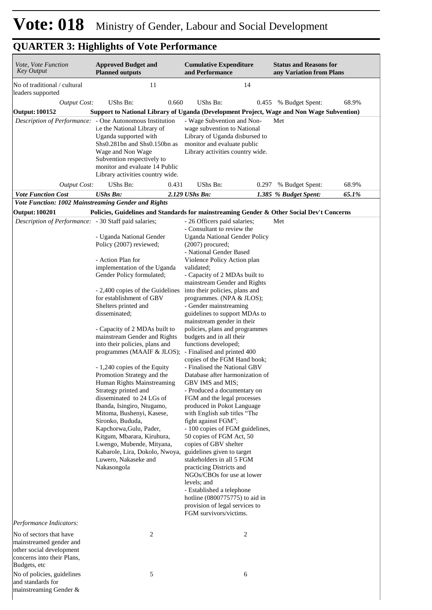| Vote, Vote Function<br>Key Output                                                                                            | <b>Approved Budget and</b><br><b>Planned outputs</b>                                                                                                                                                                                                                                                                                                                                                                                                                                                                                                                                                                                                                                                                                                                           | <b>Cumulative Expenditure</b><br>and Performance                                                                                                                                                                                                                                                                                                                                                                                                                                                                                                                                                                                                                                                                                                                                                                                                                                                                                                                                                                                                                                                                                                                                |       | <b>Status and Reasons for</b><br>any Variation from Plans |       |
|------------------------------------------------------------------------------------------------------------------------------|--------------------------------------------------------------------------------------------------------------------------------------------------------------------------------------------------------------------------------------------------------------------------------------------------------------------------------------------------------------------------------------------------------------------------------------------------------------------------------------------------------------------------------------------------------------------------------------------------------------------------------------------------------------------------------------------------------------------------------------------------------------------------------|---------------------------------------------------------------------------------------------------------------------------------------------------------------------------------------------------------------------------------------------------------------------------------------------------------------------------------------------------------------------------------------------------------------------------------------------------------------------------------------------------------------------------------------------------------------------------------------------------------------------------------------------------------------------------------------------------------------------------------------------------------------------------------------------------------------------------------------------------------------------------------------------------------------------------------------------------------------------------------------------------------------------------------------------------------------------------------------------------------------------------------------------------------------------------------|-------|-----------------------------------------------------------|-------|
| No of traditional / cultural<br>leaders supported                                                                            | 11                                                                                                                                                                                                                                                                                                                                                                                                                                                                                                                                                                                                                                                                                                                                                                             | 14                                                                                                                                                                                                                                                                                                                                                                                                                                                                                                                                                                                                                                                                                                                                                                                                                                                                                                                                                                                                                                                                                                                                                                              |       |                                                           |       |
| <b>Output Cost:</b>                                                                                                          | UShs Bn:<br>0.660                                                                                                                                                                                                                                                                                                                                                                                                                                                                                                                                                                                                                                                                                                                                                              | <b>UShs Bn:</b>                                                                                                                                                                                                                                                                                                                                                                                                                                                                                                                                                                                                                                                                                                                                                                                                                                                                                                                                                                                                                                                                                                                                                                 | 0.455 | % Budget Spent:                                           | 68.9% |
| <b>Output: 100152</b>                                                                                                        | Support to National Library of Uganda (Development Project, Wage and Non Wage Subvention)                                                                                                                                                                                                                                                                                                                                                                                                                                                                                                                                                                                                                                                                                      |                                                                                                                                                                                                                                                                                                                                                                                                                                                                                                                                                                                                                                                                                                                                                                                                                                                                                                                                                                                                                                                                                                                                                                                 |       |                                                           |       |
|                                                                                                                              | Description of Performance: - One Autonomous Institution<br>i.e the National Library of<br>Uganda supported with<br>Shs0.281bn and Shs0.150bn as<br>Wage and Non Wage<br>Subvention respectively to<br>monitor and evaluate 14 Public<br>Library activities country wide.                                                                                                                                                                                                                                                                                                                                                                                                                                                                                                      | - Wage Subvention and Non-<br>wage subvention to National<br>Library of Uganda disbursed to<br>monitor and evaluate public<br>Library activities country wide.                                                                                                                                                                                                                                                                                                                                                                                                                                                                                                                                                                                                                                                                                                                                                                                                                                                                                                                                                                                                                  |       | Met                                                       |       |
| <b>Output Cost:</b>                                                                                                          | UShs Bn:<br>0.431                                                                                                                                                                                                                                                                                                                                                                                                                                                                                                                                                                                                                                                                                                                                                              | UShs Bn:                                                                                                                                                                                                                                                                                                                                                                                                                                                                                                                                                                                                                                                                                                                                                                                                                                                                                                                                                                                                                                                                                                                                                                        |       | 0.297 % Budget Spent:                                     | 68.9% |
| <b>Vote Function Cost</b>                                                                                                    | <b>UShs Bn:</b>                                                                                                                                                                                                                                                                                                                                                                                                                                                                                                                                                                                                                                                                                                                                                                | 2.129 UShs Bn:                                                                                                                                                                                                                                                                                                                                                                                                                                                                                                                                                                                                                                                                                                                                                                                                                                                                                                                                                                                                                                                                                                                                                                  |       | 1.385 % Budget Spent:                                     | 65.1% |
| Vote Function: 1002 Mainstreaming Gender and Rights                                                                          |                                                                                                                                                                                                                                                                                                                                                                                                                                                                                                                                                                                                                                                                                                                                                                                |                                                                                                                                                                                                                                                                                                                                                                                                                                                                                                                                                                                                                                                                                                                                                                                                                                                                                                                                                                                                                                                                                                                                                                                 |       |                                                           |       |
| <b>Output: 100201</b>                                                                                                        | Policies, Guidelines and Standards for mainstreaming Gender & Other Social Dev't Concerns                                                                                                                                                                                                                                                                                                                                                                                                                                                                                                                                                                                                                                                                                      |                                                                                                                                                                                                                                                                                                                                                                                                                                                                                                                                                                                                                                                                                                                                                                                                                                                                                                                                                                                                                                                                                                                                                                                 |       |                                                           |       |
| Description of Performance: - 30 Staff paid salaries;                                                                        | - Uganda National Gender<br>Policy (2007) reviewed;<br>- Action Plan for<br>implementation of the Uganda<br>Gender Policy formulated;<br>- 2,400 copies of the Guidelines<br>for establishment of GBV<br>Shelters printed and<br>disseminated:<br>- Capacity of 2 MDAs built to<br>mainstream Gender and Rights<br>into their policies, plans and<br>programmes (MAAIF & JLOS);<br>- 1,240 copies of the Equity<br>Promotion Strategy and the<br>Human Rights Mainstreaming<br>Strategy printed and<br>disseminated to 24 LGs of<br>Ibanda, Isingiro, Ntugamo,<br>Mitoma, Bushenyi, Kasese,<br>Sironko, Bududa,<br>Kapchorwa, Gulu, Pader,<br>Kitgum, Mbarara, Kiruhura,<br>Lwengo, Mubende, Mityana,<br>Kabarole, Lira, Dokolo, Nwoya,<br>Luwero, Nakaseke and<br>Nakasongola | - 26 Officers paid salaries;<br>- Consultant to review the<br><b>Uganda National Gender Policy</b><br>$(2007)$ procured;<br>- National Gender Based<br>Violence Policy Action plan<br>validated;<br>- Capacity of 2 MDAs built to<br>mainstream Gender and Rights<br>into their policies, plans and<br>programmes. (NPA & JLOS);<br>- Gender mainstreaming<br>guidelines to support MDAs to<br>mainstream gender in their<br>policies, plans and programmes<br>budgets and in all their<br>functions developed;<br>- Finalised and printed 400<br>copies of the FGM Hand book;<br>- Finalised the National GBV<br>Database after harmonization of<br>GBV IMS and MIS;<br>- Produced a documentary on<br>FGM and the legal processes<br>produced in Pokot Language<br>with English sub titles "The<br>fight against FGM";<br>- 100 copies of FGM guidelines,<br>50 copies of FGM Act, 50<br>copies of GBV shelter<br>guidelines given to target<br>stakeholders in all 5 FGM<br>practicing Districts and<br>NGOs/CBOs for use at lower<br>levels; and<br>- Established a telephone<br>hotline (0800775775) to aid in<br>provision of legal services to<br>FGM survivors/victims. |       | Met                                                       |       |
| Performance Indicators:                                                                                                      |                                                                                                                                                                                                                                                                                                                                                                                                                                                                                                                                                                                                                                                                                                                                                                                |                                                                                                                                                                                                                                                                                                                                                                                                                                                                                                                                                                                                                                                                                                                                                                                                                                                                                                                                                                                                                                                                                                                                                                                 |       |                                                           |       |
| No of sectors that have<br>mainstreamed gender and<br>other social development<br>concerns into their Plans,<br>Budgets, etc | 2                                                                                                                                                                                                                                                                                                                                                                                                                                                                                                                                                                                                                                                                                                                                                                              | 2                                                                                                                                                                                                                                                                                                                                                                                                                                                                                                                                                                                                                                                                                                                                                                                                                                                                                                                                                                                                                                                                                                                                                                               |       |                                                           |       |
| No of policies, guidelines<br>and standards for<br>mainstreaming Gender &                                                    | 5                                                                                                                                                                                                                                                                                                                                                                                                                                                                                                                                                                                                                                                                                                                                                                              | 6                                                                                                                                                                                                                                                                                                                                                                                                                                                                                                                                                                                                                                                                                                                                                                                                                                                                                                                                                                                                                                                                                                                                                                               |       |                                                           |       |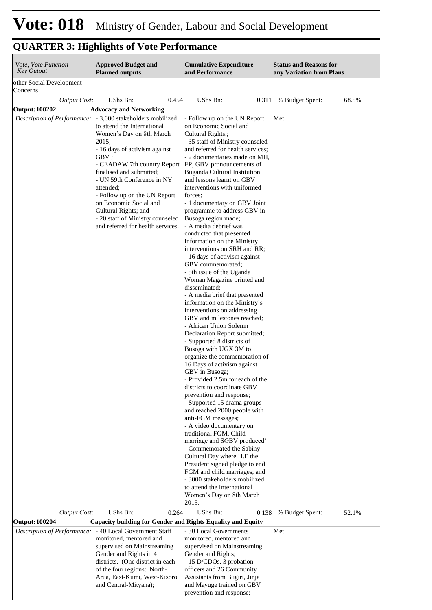| other Social Development<br>Concerns<br>UShs Bn:<br>UShs Bn:<br>0.454<br>68.5%<br><b>Output Cost:</b><br>% Budget Spent:<br>0.311<br><b>Advocacy and Networking</b><br><b>Output: 100202</b><br>Description of Performance:<br>- 3,000 stakeholders mobilized<br>- Follow up on the UN Report<br>Met<br>to attend the International<br>on Economic Social and<br>Women's Day on 8th March<br>Cultural Rights.;<br>2015;<br>- 35 staff of Ministry counseled<br>- 16 days of activism against<br>and referred for health services;<br>GBV;<br>- 2 documentaries made on MH,<br>- CEADAW 7th country Report FP, GBV pronouncements of<br>finalised and submitted;<br>Buganda Cultural Institution<br>and lessons learnt on GBV<br>- UN 59th Conference in NY<br>interventions with uniformed<br>attended;<br>- Follow up on the UN Report<br>forces;<br>on Economic Social and<br>- 1 documentary on GBV Joint<br>Cultural Rights; and<br>programme to address GBV in<br>- 20 staff of Ministry counseled<br>Busoga region made;<br>and referred for health services.<br>- A media debrief was<br>conducted that presented<br>information on the Ministry<br>interventions on SRH and RR;<br>- 16 days of activism against<br>GBV commemorated;<br>- 5th issue of the Uganda<br>Woman Magazine printed and<br>disseminated;<br>- A media brief that presented<br>information on the Ministry's<br>interventions on addressing<br>GBV and milestones reached;<br>- African Union Solemn<br>Declaration Report submitted;<br>- Supported 8 districts of<br>Busoga with UGX 3M to<br>organize the commemoration of<br>16 Days of activism against<br>GBV in Busoga;<br>- Provided 2.5m for each of the<br>districts to coordinate GBV<br>prevention and response;<br>- Supported 15 drama groups<br>and reached 2000 people with<br>anti-FGM messages;<br>- A video documentary on<br>traditional FGM, Child<br>marriage and SGBV produced'<br>- Commemorated the Sabiny<br>Cultural Day where H.E the<br>President signed pledge to end<br>FGM and child marriages; and<br>- 3000 stakeholders mobilized<br>to attend the International<br>Women's Day on 8th March<br>2015.<br>UShs Bn:<br>UShs Bn:<br>Output Cost:<br>0.264<br>52.1%<br>0.138<br>% Budget Spent:<br><b>Output: 100204</b><br>Capacity building for Gender and Rights Equality and Equity | Vote, Vote Function<br><b>Key Output</b> | <b>Approved Budget and</b><br><b>Planned outputs</b> | <b>Cumulative Expenditure</b><br>and Performance | <b>Status and Reasons for</b><br>any Variation from Plans |  |
|--------------------------------------------------------------------------------------------------------------------------------------------------------------------------------------------------------------------------------------------------------------------------------------------------------------------------------------------------------------------------------------------------------------------------------------------------------------------------------------------------------------------------------------------------------------------------------------------------------------------------------------------------------------------------------------------------------------------------------------------------------------------------------------------------------------------------------------------------------------------------------------------------------------------------------------------------------------------------------------------------------------------------------------------------------------------------------------------------------------------------------------------------------------------------------------------------------------------------------------------------------------------------------------------------------------------------------------------------------------------------------------------------------------------------------------------------------------------------------------------------------------------------------------------------------------------------------------------------------------------------------------------------------------------------------------------------------------------------------------------------------------------------------------------------------------------------------------------------------------------------------------------------------------------------------------------------------------------------------------------------------------------------------------------------------------------------------------------------------------------------------------------------------------------------------------------------------------------------------------------------------------------------------------------------------------------------------------------------------|------------------------------------------|------------------------------------------------------|--------------------------------------------------|-----------------------------------------------------------|--|
|                                                                                                                                                                                                                                                                                                                                                                                                                                                                                                                                                                                                                                                                                                                                                                                                                                                                                                                                                                                                                                                                                                                                                                                                                                                                                                                                                                                                                                                                                                                                                                                                                                                                                                                                                                                                                                                                                                                                                                                                                                                                                                                                                                                                                                                                                                                                                        |                                          |                                                      |                                                  |                                                           |  |
|                                                                                                                                                                                                                                                                                                                                                                                                                                                                                                                                                                                                                                                                                                                                                                                                                                                                                                                                                                                                                                                                                                                                                                                                                                                                                                                                                                                                                                                                                                                                                                                                                                                                                                                                                                                                                                                                                                                                                                                                                                                                                                                                                                                                                                                                                                                                                        |                                          |                                                      |                                                  |                                                           |  |
|                                                                                                                                                                                                                                                                                                                                                                                                                                                                                                                                                                                                                                                                                                                                                                                                                                                                                                                                                                                                                                                                                                                                                                                                                                                                                                                                                                                                                                                                                                                                                                                                                                                                                                                                                                                                                                                                                                                                                                                                                                                                                                                                                                                                                                                                                                                                                        |                                          |                                                      |                                                  |                                                           |  |
|                                                                                                                                                                                                                                                                                                                                                                                                                                                                                                                                                                                                                                                                                                                                                                                                                                                                                                                                                                                                                                                                                                                                                                                                                                                                                                                                                                                                                                                                                                                                                                                                                                                                                                                                                                                                                                                                                                                                                                                                                                                                                                                                                                                                                                                                                                                                                        |                                          |                                                      |                                                  |                                                           |  |
|                                                                                                                                                                                                                                                                                                                                                                                                                                                                                                                                                                                                                                                                                                                                                                                                                                                                                                                                                                                                                                                                                                                                                                                                                                                                                                                                                                                                                                                                                                                                                                                                                                                                                                                                                                                                                                                                                                                                                                                                                                                                                                                                                                                                                                                                                                                                                        |                                          |                                                      |                                                  |                                                           |  |
|                                                                                                                                                                                                                                                                                                                                                                                                                                                                                                                                                                                                                                                                                                                                                                                                                                                                                                                                                                                                                                                                                                                                                                                                                                                                                                                                                                                                                                                                                                                                                                                                                                                                                                                                                                                                                                                                                                                                                                                                                                                                                                                                                                                                                                                                                                                                                        |                                          |                                                      |                                                  |                                                           |  |
| Description of Performance: - 40 Local Government Staff<br>- 30 Local Governments<br>Met                                                                                                                                                                                                                                                                                                                                                                                                                                                                                                                                                                                                                                                                                                                                                                                                                                                                                                                                                                                                                                                                                                                                                                                                                                                                                                                                                                                                                                                                                                                                                                                                                                                                                                                                                                                                                                                                                                                                                                                                                                                                                                                                                                                                                                                               |                                          |                                                      |                                                  |                                                           |  |

| )utput: 100204 | Capacity building for Gender and Rights Equality and Equity                                                                                                                                                                                                              |                                                                                                                                                                                                                                                           |     |
|----------------|--------------------------------------------------------------------------------------------------------------------------------------------------------------------------------------------------------------------------------------------------------------------------|-----------------------------------------------------------------------------------------------------------------------------------------------------------------------------------------------------------------------------------------------------------|-----|
|                | Description of Performance: - 40 Local Government Staff<br>monitored, mentored and<br>supervised on Mainstreaming<br>Gender and Rights in 4<br>districts. (One district in each)<br>of the four regions: North-<br>Arua, East-Kumi, West-Kisoro<br>and Central-Mityana); | - 30 Local Governments<br>monitored, mentored and<br>supervised on Mainstreaming<br>Gender and Rights;<br>- 15 D/CDOs, 3 probation<br>officers and 26 Community<br>Assistants from Bugiri, Jinja<br>and Mayuge trained on GBV<br>prevention and response; | Met |
|                |                                                                                                                                                                                                                                                                          |                                                                                                                                                                                                                                                           |     |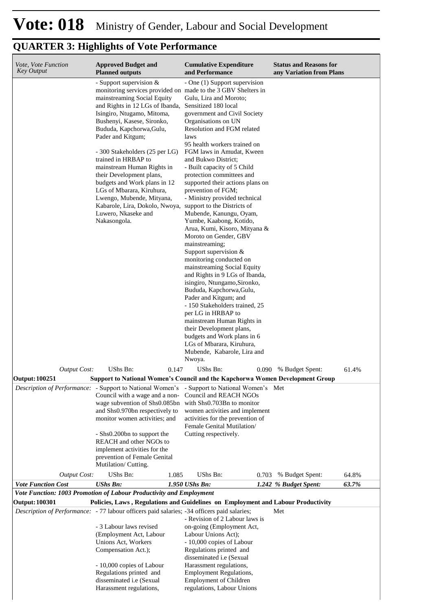| Vote, Vote Function<br><b>Key Output</b> | <b>Approved Budget and</b><br><b>Planned outputs</b>                                                                                                                                                                                                                                                                                                                                                                                                                                                                                                                                        | <b>Cumulative Expenditure</b><br>and Performance                                                                                                                                                                                                                                                                                                                                                                                                                                                                                                                                                                                                                                                                                                                                                                                                                                                                                                                                           | <b>Status and Reasons for</b><br>any Variation from Plans |       |
|------------------------------------------|---------------------------------------------------------------------------------------------------------------------------------------------------------------------------------------------------------------------------------------------------------------------------------------------------------------------------------------------------------------------------------------------------------------------------------------------------------------------------------------------------------------------------------------------------------------------------------------------|--------------------------------------------------------------------------------------------------------------------------------------------------------------------------------------------------------------------------------------------------------------------------------------------------------------------------------------------------------------------------------------------------------------------------------------------------------------------------------------------------------------------------------------------------------------------------------------------------------------------------------------------------------------------------------------------------------------------------------------------------------------------------------------------------------------------------------------------------------------------------------------------------------------------------------------------------------------------------------------------|-----------------------------------------------------------|-------|
|                                          | - Support supervision $&$<br>monitoring services provided on made to the 3 GBV Shelters in<br>mainstreaming Social Equity<br>and Rights in 12 LGs of Ibanda,<br>Isingiro, Ntugamo, Mitoma,<br>Bushenyi, Kasese, Sironko,<br>Bududa, Kapchorwa, Gulu,<br>Pader and Kitgum;<br>- 300 Stakeholders (25 per LG)<br>trained in HRBAP to<br>mainstream Human Rights in<br>their Development plans,<br>budgets and Work plans in 12<br>LGs of Mbarara, Kiruhura,<br>Lwengo, Mubende, Mityana,<br>Kabarole, Lira, Dokolo, Nwoya, support to the Districts of<br>Luwero, Nkaseke and<br>Nakasongola. | - One (1) Support supervision<br>Gulu, Lira and Moroto;<br>Sensitized 180 local<br>government and Civil Society<br>Organisations on UN<br>Resolution and FGM related<br>laws<br>95 health workers trained on<br>FGM laws in Amudat, Kween<br>and Bukwo District;<br>- Built capacity of 5 Child<br>protection committees and<br>supported their actions plans on<br>prevention of FGM;<br>- Ministry provided technical<br>Mubende, Kanungu, Oyam,<br>Yumbe, Kaabong, Kotido,<br>Arua, Kumi, Kisoro, Mityana &<br>Moroto on Gender, GBV<br>mainstreaming;<br>Support supervision &<br>monitoring conducted on<br>mainstreaming Social Equity<br>and Rights in 9 LGs of Ibanda,<br>isingiro, Ntungamo, Sironko,<br>Bududa, Kapchorwa, Gulu,<br>Pader and Kitgum; and<br>- 150 Stakeholders trained, 25<br>per LG in HRBAP to<br>mainstream Human Rights in<br>their Development plans,<br>budgets and Work plans in 6<br>LGs of Mbarara, Kiruhura,<br>Mubende, Kabarole, Lira and<br>Nwoya. |                                                           |       |
| <b>Output Cost:</b>                      | <b>UShs Bn:</b><br>0.147                                                                                                                                                                                                                                                                                                                                                                                                                                                                                                                                                                    | UShs Bn:<br>0.090                                                                                                                                                                                                                                                                                                                                                                                                                                                                                                                                                                                                                                                                                                                                                                                                                                                                                                                                                                          | % Budget Spent:                                           | 61.4% |
| <b>Output: 100251</b>                    | <b>Support to National Women's Council and the Kapchorwa Women Development Group</b>                                                                                                                                                                                                                                                                                                                                                                                                                                                                                                        |                                                                                                                                                                                                                                                                                                                                                                                                                                                                                                                                                                                                                                                                                                                                                                                                                                                                                                                                                                                            |                                                           |       |
|                                          | <i>Description of Performance:</i> - Support to National Women's - Support to National Women's Met<br>Council with a wage and a non-<br>wage subvention of Shs0.085bn<br>and Shs0.970bn respectively to<br>monitor women activities; and<br>- Shs0.200bn to support the<br>REACH and other NGOs to<br>implement activities for the<br>prevention of Female Genital<br>Mutilation/Cutting.                                                                                                                                                                                                   | Council and REACH NGOs<br>with Shs0.703Bn to monitor<br>women activities and implement<br>activities for the prevention of<br>Female Genital Mutilation/<br>Cutting respectively.                                                                                                                                                                                                                                                                                                                                                                                                                                                                                                                                                                                                                                                                                                                                                                                                          |                                                           |       |
| <b>Output Cost:</b>                      | UShs Bn:<br>1.085                                                                                                                                                                                                                                                                                                                                                                                                                                                                                                                                                                           | UShs Bn:<br>0.703                                                                                                                                                                                                                                                                                                                                                                                                                                                                                                                                                                                                                                                                                                                                                                                                                                                                                                                                                                          | % Budget Spent:                                           | 64.8% |
| <b>Vote Function Cost</b>                | <b>UShs Bn:</b>                                                                                                                                                                                                                                                                                                                                                                                                                                                                                                                                                                             | 1.950 UShs Bn:                                                                                                                                                                                                                                                                                                                                                                                                                                                                                                                                                                                                                                                                                                                                                                                                                                                                                                                                                                             | 1.242 % Budget Spent:                                     | 63.7% |
|                                          | Vote Function: 1003 Promotion of Labour Productivity and Employment                                                                                                                                                                                                                                                                                                                                                                                                                                                                                                                         |                                                                                                                                                                                                                                                                                                                                                                                                                                                                                                                                                                                                                                                                                                                                                                                                                                                                                                                                                                                            |                                                           |       |
| <b>Output: 100301</b>                    | Policies, Laws, Regulations and Guidelines on Employment and Labour Productivity                                                                                                                                                                                                                                                                                                                                                                                                                                                                                                            |                                                                                                                                                                                                                                                                                                                                                                                                                                                                                                                                                                                                                                                                                                                                                                                                                                                                                                                                                                                            |                                                           |       |
|                                          | Description of Performance: - 77 labour officers paid salaries; -34 officers paid salaries;<br>- 3 Labour laws revised<br>(Employment Act, Labour<br>Unions Act, Workers<br>Compensation Act.);<br>- 10,000 copies of Labour<br>Regulations printed and<br>disseminated i.e (Sexual<br>Harassment regulations,                                                                                                                                                                                                                                                                              | - Revision of 2 Labour laws is<br>on-going (Employment Act,<br>Labour Unions Act);<br>- 10,000 copies of Labour<br>Regulations printed and<br>disseminated i.e (Sexual<br>Harassment regulations,<br><b>Employment Regulations,</b><br><b>Employment of Children</b><br>regulations, Labour Unions                                                                                                                                                                                                                                                                                                                                                                                                                                                                                                                                                                                                                                                                                         | Met                                                       |       |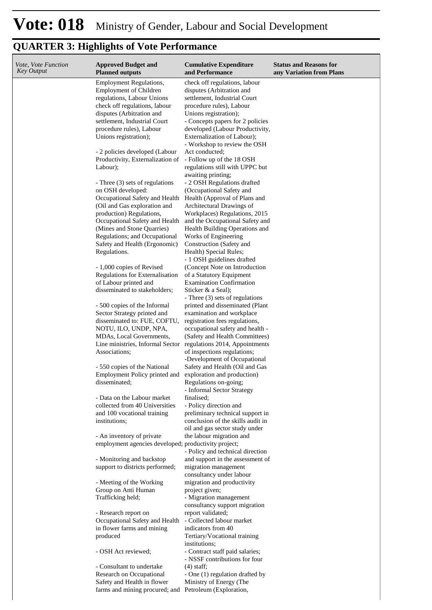| Vote, Vote Function<br>Key Output | <b>Approved Budget and</b><br><b>Planned outputs</b>                                                                           | <b>Cumulative Expenditure</b><br>and Performance                                                                       | <b>Status and Reasons for</b><br>any Variation from Plans |
|-----------------------------------|--------------------------------------------------------------------------------------------------------------------------------|------------------------------------------------------------------------------------------------------------------------|-----------------------------------------------------------|
|                                   | <b>Employment Regulations,</b><br><b>Employment of Children</b><br>regulations, Labour Unions<br>check off regulations, labour | check off regulations, labour<br>disputes (Arbitration and<br>settlement, Industrial Court<br>procedure rules), Labour |                                                           |
|                                   | disputes (Arbitration and                                                                                                      | Unions registration);                                                                                                  |                                                           |
|                                   | settlement, Industrial Court<br>procedure rules), Labour                                                                       | - Concepts papers for 2 policies<br>developed (Labour Productivity,                                                    |                                                           |
|                                   | Unions registration);                                                                                                          | Externalization of Labour);                                                                                            |                                                           |
|                                   |                                                                                                                                | - Workshop to review the OSH                                                                                           |                                                           |
|                                   | - 2 policies developed (Labour<br>Productivity, Externalization of                                                             | Act conducted;<br>- Follow up of the 18 OSH                                                                            |                                                           |
|                                   | Labour);                                                                                                                       | regulations still with UPPC but                                                                                        |                                                           |
|                                   |                                                                                                                                | awaiting printing;                                                                                                     |                                                           |
|                                   | - Three (3) sets of regulations                                                                                                | - 2 OSH Regulations drafted                                                                                            |                                                           |
|                                   | on OSH developed:<br>Occupational Safety and Health                                                                            | (Occupational Safety and<br>Health (Approval of Plans and                                                              |                                                           |
|                                   | (Oil and Gas exploration and                                                                                                   | Architectural Drawings of                                                                                              |                                                           |
|                                   | production) Regulations,                                                                                                       | Workplaces) Regulations, 2015                                                                                          |                                                           |
|                                   | Occupational Safety and Health                                                                                                 | and the Occupational Safety and                                                                                        |                                                           |
|                                   | (Mines and Stone Quarries)<br>Regulations; and Occupational                                                                    | Health Building Operations and<br>Works of Engineering                                                                 |                                                           |
|                                   | Safety and Health (Ergonomic)                                                                                                  | Construction (Safety and                                                                                               |                                                           |
|                                   | Regulations.                                                                                                                   | Health) Special Rules;                                                                                                 |                                                           |
|                                   |                                                                                                                                | - 1 OSH guidelines drafted                                                                                             |                                                           |
|                                   | - 1,000 copies of Revised<br>Regulations for Externalisation                                                                   | (Concept Note on Introduction<br>of a Statutory Equipment                                                              |                                                           |
|                                   | of Labour printed and                                                                                                          | <b>Examination Confirmation</b>                                                                                        |                                                           |
|                                   | disseminated to stakeholders;                                                                                                  | Sticker & a Seal);                                                                                                     |                                                           |
|                                   | - 500 copies of the Informal                                                                                                   | - Three (3) sets of regulations<br>printed and disseminated (Plant                                                     |                                                           |
|                                   | Sector Strategy printed and                                                                                                    | examination and workplace                                                                                              |                                                           |
|                                   | disseminated to: FUE, COFTU,                                                                                                   | registration fees regulations,                                                                                         |                                                           |
|                                   | NOTU, ILO, UNDP, NPA,                                                                                                          | occupational safety and health -                                                                                       |                                                           |
|                                   | MDAs, Local Governments,<br>Line ministries, Informal Sector                                                                   | (Safety and Health Committees)<br>regulations 2014, Appointments                                                       |                                                           |
|                                   | Associations;                                                                                                                  | of inspections regulations;                                                                                            |                                                           |
|                                   |                                                                                                                                | -Development of Occupational                                                                                           |                                                           |
|                                   | - 550 copies of the National                                                                                                   | Safety and Health (Oil and Gas                                                                                         |                                                           |
|                                   | Employment Policy printed and<br>disseminated;                                                                                 | exploration and production)<br>Regulations on-going;                                                                   |                                                           |
|                                   |                                                                                                                                | - Informal Sector Strategy                                                                                             |                                                           |
|                                   | - Data on the Labour market                                                                                                    | finalised;                                                                                                             |                                                           |
|                                   | collected from 40 Universities<br>and 100 vocational training                                                                  | - Policy direction and<br>preliminary technical support in                                                             |                                                           |
|                                   | institutions;                                                                                                                  | conclusion of the skills audit in                                                                                      |                                                           |
|                                   |                                                                                                                                | oil and gas sector study under                                                                                         |                                                           |
|                                   | - An inventory of private                                                                                                      | the labour migration and                                                                                               |                                                           |
|                                   | employment agencies developed; productivity project;                                                                           | - Policy and technical direction                                                                                       |                                                           |
|                                   | - Monitoring and backstop                                                                                                      | and support in the assessment of                                                                                       |                                                           |
|                                   | support to districts performed;                                                                                                | migration management                                                                                                   |                                                           |
|                                   |                                                                                                                                | consultancy under labour<br>migration and productivity                                                                 |                                                           |
|                                   | - Meeting of the Working<br>Group on Anti Human                                                                                | project given;                                                                                                         |                                                           |
|                                   | Trafficking held;                                                                                                              | - Migration management                                                                                                 |                                                           |
|                                   |                                                                                                                                | consultancy support migration                                                                                          |                                                           |
|                                   | - Research report on<br>Occupational Safety and Health                                                                         | report validated;<br>- Collected labour market                                                                         |                                                           |
|                                   | in flower farms and mining                                                                                                     | indicators from 40                                                                                                     |                                                           |
|                                   | produced                                                                                                                       | Tertiary/Vocational training                                                                                           |                                                           |
|                                   |                                                                                                                                | institutions;                                                                                                          |                                                           |
|                                   | - OSH Act reviewed;                                                                                                            | - Contract staff paid salaries;<br>- NSSF contributions for four                                                       |                                                           |
|                                   | - Consultant to undertake                                                                                                      | $(4)$ staff;                                                                                                           |                                                           |
|                                   | Research on Occupational                                                                                                       | - One (1) regulation drafted by                                                                                        |                                                           |
|                                   | Safety and Health in flower                                                                                                    | Ministry of Energy (The                                                                                                |                                                           |
|                                   | farms and mining procured; and Petroleum (Exploration,                                                                         |                                                                                                                        |                                                           |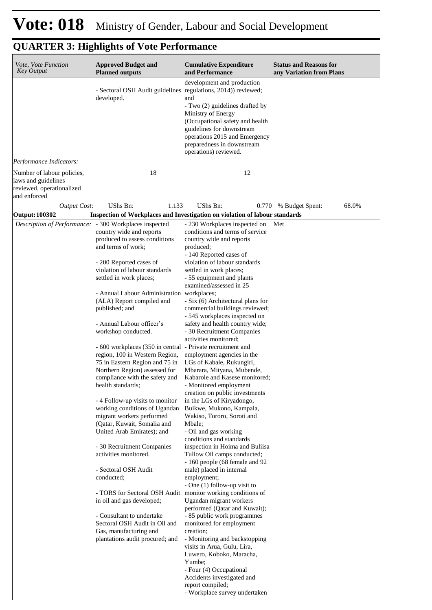| Vote, Vote Function<br>Key Output                                                              | <b>Approved Budget and</b><br><b>Planned outputs</b>                                                                                                                                                                                              | <b>Cumulative Expenditure</b><br>and Performance                                                                                                                                                                                                             | <b>Status and Reasons for</b><br>any Variation from Plans |
|------------------------------------------------------------------------------------------------|---------------------------------------------------------------------------------------------------------------------------------------------------------------------------------------------------------------------------------------------------|--------------------------------------------------------------------------------------------------------------------------------------------------------------------------------------------------------------------------------------------------------------|-----------------------------------------------------------|
|                                                                                                | - Sectoral OSH Audit guidelines regulations, 2014)) reviewed;<br>developed.                                                                                                                                                                       | development and production<br>and<br>- Two (2) guidelines drafted by<br>Ministry of Energy<br>(Occupational safety and health<br>guidelines for downstream<br>operations 2015 and Emergency<br>preparedness in downstream<br>operations) reviewed.           |                                                           |
| Performance Indicators:                                                                        |                                                                                                                                                                                                                                                   |                                                                                                                                                                                                                                                              |                                                           |
| Number of labour policies,<br>laws and guidelines<br>reviewed, operationalized<br>and enforced | 18                                                                                                                                                                                                                                                | 12                                                                                                                                                                                                                                                           |                                                           |
| <b>Output Cost:</b><br><b>Output: 100302</b>                                                   | <b>UShs Bn:</b><br>1.133                                                                                                                                                                                                                          | UShs Bn:<br>Inspection of Workplaces and Investigation on violation of labour standards                                                                                                                                                                      | 68.0%<br>0.770 % Budget Spent:                            |
| Description of Performance: - 300 Workplaces inspected                                         |                                                                                                                                                                                                                                                   | - 230 Workplaces inspected on                                                                                                                                                                                                                                | Met                                                       |
|                                                                                                | country wide and reports<br>produced to assess conditions<br>and terms of work;<br>- 200 Reported cases of<br>violation of labour standards<br>settled in work places;<br>- Annual Labour Administration workplaces;<br>(ALA) Report compiled and | conditions and terms of service<br>country wide and reports<br>produced;<br>- 140 Reported cases of<br>violation of labour standards<br>settled in work places;<br>- 55 equipment and plants<br>examined/assessed in 25<br>- Six (6) Architectural plans for |                                                           |
|                                                                                                | published; and<br>- Annual Labour officer's<br>workshop conducted.<br>- 600 workplaces (350 in central - Private recruitment and<br>region, 100 in Western Region,<br>75 in Eastern Region and 75 in                                              | commercial buildings reviewed;<br>- 545 workplaces inspected on<br>safety and health country wide;<br>- 30 Recruitment Companies<br>activities monitored;<br>employment agencies in the                                                                      |                                                           |
|                                                                                                | Northern Region) assessed for<br>compliance with the safety and<br>health standards;<br>- 4 Follow-up visits to monitor                                                                                                                           | LGs of Kabale, Rukungiri,<br>Mbarara, Mityana, Mubende,<br>Kabarole and Kasese monitored;<br>- Monitored employment<br>creation on public investments<br>in the LGs of Kiryadongo,                                                                           |                                                           |
|                                                                                                | working conditions of Ugandan<br>migrant workers performed<br>(Qatar, Kuwait, Somalia and<br>United Arab Emirates); and                                                                                                                           | Buikwe, Mukono, Kampala,<br>Wakiso, Tororo, Soroti and<br>Mbale;<br>- Oil and gas working                                                                                                                                                                    |                                                           |
|                                                                                                | - 30 Recruitment Companies<br>activities monitored.                                                                                                                                                                                               | conditions and standards<br>inspection in Hoima and Buliisa<br>Tullow Oil camps conducted;<br>- 160 people (68 female and 92                                                                                                                                 |                                                           |
|                                                                                                | - Sectoral OSH Audit<br>conducted;                                                                                                                                                                                                                | male) placed in internal<br>employment;<br>- One (1) follow-up visit to                                                                                                                                                                                      |                                                           |
|                                                                                                | - TORS for Sectoral OSH Audit monitor working conditions of<br>in oil and gas developed;<br>- Consultant to undertake                                                                                                                             | Ugandan migrant workers<br>performed (Qatar and Kuwait);<br>- 85 public work programmes                                                                                                                                                                      |                                                           |
|                                                                                                | Sectoral OSH Audit in Oil and<br>Gas, manufacturing and<br>plantations audit procured; and                                                                                                                                                        | monitored for employment<br>creation;<br>- Monitoring and backstopping<br>visits in Arua, Gulu, Lira,<br>Luwero, Koboko, Maracha,<br>Yumbe;<br>- Four (4) Occupational<br>Accidents investigated and<br>report compiled;<br>- Workplace survey undertaken    |                                                           |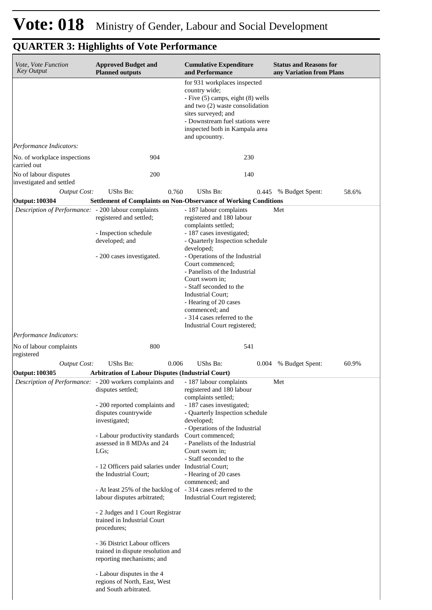| Vote, Vote Function<br><b>Key Output</b>                | <b>Approved Budget and</b><br><b>Planned outputs</b>                                                  | <b>Cumulative Expenditure</b><br>and Performance                                                                                                                                                                                               | <b>Status and Reasons for</b><br>any Variation from Plans |
|---------------------------------------------------------|-------------------------------------------------------------------------------------------------------|------------------------------------------------------------------------------------------------------------------------------------------------------------------------------------------------------------------------------------------------|-----------------------------------------------------------|
|                                                         |                                                                                                       | for 931 workplaces inspected<br>country wide;<br>- Five (5) camps, eight (8) wells<br>and two (2) waste consolidation<br>sites surveyed; and<br>- Downstream fuel stations were<br>inspected both in Kampala area<br>and upcountry.            |                                                           |
| Performance Indicators:<br>No. of workplace inspections | 904                                                                                                   | 230                                                                                                                                                                                                                                            |                                                           |
| carried out<br>No of labour disputes                    | 200                                                                                                   | 140                                                                                                                                                                                                                                            |                                                           |
| investigated and settled<br><b>Output Cost:</b>         | UShs Bn:<br>0.760                                                                                     | UShs Bn:                                                                                                                                                                                                                                       | 58.6%<br>0.445 % Budget Spent:                            |
| <b>Output: 100304</b>                                   | <b>Settlement of Complaints on Non-Observance of Working Conditions</b>                               |                                                                                                                                                                                                                                                |                                                           |
| Description of Performance: - 200 labour complaints     | registered and settled;                                                                               | - 187 labour complaints<br>registered and 180 labour                                                                                                                                                                                           | Met                                                       |
|                                                         | - Inspection schedule<br>developed; and                                                               | complaints settled;<br>- 187 cases investigated;<br>- Quarterly Inspection schedule                                                                                                                                                            |                                                           |
|                                                         | - 200 cases investigated.                                                                             | developed;<br>- Operations of the Industrial<br>Court commenced;<br>- Panelists of the Industrial<br>Court sworn in;<br>- Staff seconded to the<br>Industrial Court;<br>- Hearing of 20 cases<br>commenced; and<br>- 314 cases referred to the |                                                           |
|                                                         |                                                                                                       | Industrial Court registered;                                                                                                                                                                                                                   |                                                           |
| Performance Indicators:<br>No of labour complaints      | 800                                                                                                   | 541                                                                                                                                                                                                                                            |                                                           |
| registered                                              |                                                                                                       |                                                                                                                                                                                                                                                |                                                           |
| <b>Output Cost:</b>                                     | UShs Bn:<br>0.006                                                                                     | UShs Bn:                                                                                                                                                                                                                                       | 60.9%<br>0.004 % Budget Spent:                            |
| <b>Output: 100305</b>                                   | <b>Arbitration of Labour Disputes (Industrial Court)</b>                                              |                                                                                                                                                                                                                                                |                                                           |
|                                                         | Description of Performance: - 200 workers complaints and - 187 labour complaints<br>disputes settled; | registered and 180 labour<br>complaints settled;                                                                                                                                                                                               | Met                                                       |
|                                                         | - 200 reported complaints and<br>disputes countrywide<br>investigated;                                | - 187 cases investigated;<br>- Quarterly Inspection schedule<br>developed;<br>- Operations of the Industrial                                                                                                                                   |                                                           |
|                                                         | - Labour productivity standards<br>assessed in 8 MDAs and 24<br>$LGs$ :                               | Court commenced;<br>- Panelists of the Industrial<br>Court sworn in;<br>- Staff seconded to the                                                                                                                                                |                                                           |
|                                                         | - 12 Officers paid salaries under Industrial Court;<br>the Industrial Court;                          | - Hearing of 20 cases<br>commenced; and                                                                                                                                                                                                        |                                                           |
|                                                         | - At least 25% of the backlog of - 314 cases referred to the<br>labour disputes arbitrated;           | Industrial Court registered;                                                                                                                                                                                                                   |                                                           |
|                                                         | - 2 Judges and 1 Court Registrar<br>trained in Industrial Court<br>procedures;                        |                                                                                                                                                                                                                                                |                                                           |
|                                                         | - 36 District Labour officers<br>trained in dispute resolution and<br>reporting mechanisms; and       |                                                                                                                                                                                                                                                |                                                           |
|                                                         | - Labour disputes in the 4<br>regions of North, East, West<br>and South arbitrated.                   |                                                                                                                                                                                                                                                |                                                           |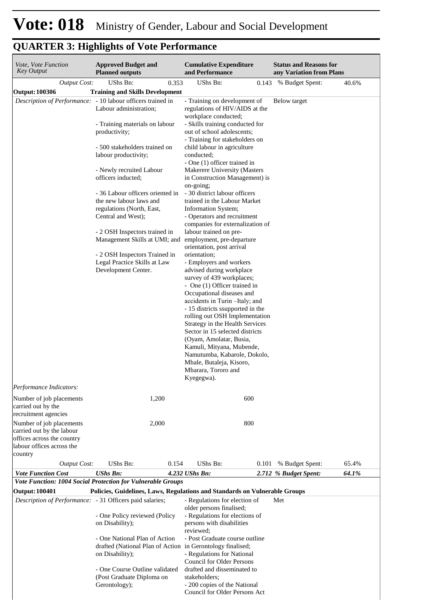| Vote, Vote Function<br><b>Key Output</b>                                                                                    | <b>Approved Budget and</b><br><b>Planned outputs</b>                                                           | <b>Cumulative Expenditure</b><br>and Performance                                                                                                                                                              | <b>Status and Reasons for</b><br>any Variation from Plans |
|-----------------------------------------------------------------------------------------------------------------------------|----------------------------------------------------------------------------------------------------------------|---------------------------------------------------------------------------------------------------------------------------------------------------------------------------------------------------------------|-----------------------------------------------------------|
| <b>Output Cost:</b>                                                                                                         | 0.353<br>UShs Bn:                                                                                              | UShs Bn:<br>0.143                                                                                                                                                                                             | % Budget Spent:<br>40.6%                                  |
| <b>Output: 100306</b>                                                                                                       | <b>Training and Skills Development</b>                                                                         |                                                                                                                                                                                                               |                                                           |
| Description of Performance:                                                                                                 | - 10 labour officers trained in<br>Labour administration;                                                      | - Training on development of<br>regulations of HIV/AIDS at the<br>workplace conducted;                                                                                                                        | Below target                                              |
|                                                                                                                             | - Training materials on labour<br>productivity;                                                                | - Skills training conducted for<br>out of school adolescents;<br>- Training for stakeholders on                                                                                                               |                                                           |
|                                                                                                                             | - 500 stakeholders trained on<br>labour productivity;                                                          | child labour in agriculture<br>conducted;<br>- One (1) officer trained in                                                                                                                                     |                                                           |
|                                                                                                                             | - Newly recruited Labour<br>officers inducted;                                                                 | Makerere University (Masters<br>in Construction Management) is<br>on-going;                                                                                                                                   |                                                           |
|                                                                                                                             | - 36 Labour officers oriented in<br>the new labour laws and<br>regulations (North, East,                       | - 30 district labour officers<br>trained in the Labour Market<br>Information System;                                                                                                                          |                                                           |
|                                                                                                                             | Central and West);<br>- 2 OSH Inspectors trained in                                                            | - Operators and recruitment<br>companies for externalization of<br>labour trained on pre-                                                                                                                     |                                                           |
|                                                                                                                             | Management Skills at UMI; and<br>- 2 OSH Inspectors Trained in                                                 | employment, pre-departure<br>orientation, post arrival<br>orientation;                                                                                                                                        |                                                           |
|                                                                                                                             | Legal Practice Skills at Law<br>Development Center.                                                            | - Employers and workers<br>advised during workplace<br>survey of 439 workplaces;                                                                                                                              |                                                           |
|                                                                                                                             |                                                                                                                | - One (1) Officer trained in<br>Occupational diseases and<br>accidents in Turin - Italy; and<br>- 15 districts ssupported in the<br>rolling out OSH Implementation                                            |                                                           |
|                                                                                                                             |                                                                                                                | Strategy in the Health Services<br>Sector in 15 selected districts<br>(Oyam, Amolatar, Busia,<br>Kamuli, Mityana, Mubende,<br>Namutumba, Kabarole, Dokolo,<br>Mbale, Butaleja, Kisoro,<br>Mbarara, Tororo and |                                                           |
|                                                                                                                             |                                                                                                                | Kyegegwa).                                                                                                                                                                                                    |                                                           |
| Performance Indicators:                                                                                                     |                                                                                                                |                                                                                                                                                                                                               |                                                           |
| Number of job placements<br>carried out by the<br>recruitment agencies                                                      | 1,200                                                                                                          | 600                                                                                                                                                                                                           |                                                           |
| Number of job placements<br>carried out by the labour<br>offices across the country<br>labour offices across the<br>country | 2,000                                                                                                          | 800                                                                                                                                                                                                           |                                                           |
| <b>Output Cost:</b>                                                                                                         | UShs Bn:<br>0.154                                                                                              | UShs Bn:<br>0.101                                                                                                                                                                                             | 65.4%<br>% Budget Spent:                                  |
| <b>Vote Function Cost</b>                                                                                                   | <b>UShs Bn:</b><br>Vote Function: 1004 Social Protection for Vulnerable Groups                                 | 4.232 UShs Bn:                                                                                                                                                                                                | 64.1%<br>2.712 % Budget Spent:                            |
| <b>Output: 100401</b>                                                                                                       | Policies, Guidelines, Laws, Regulations and Standards on Vulnerable Groups                                     |                                                                                                                                                                                                               |                                                           |
| Description of Performance: - 31 Officers paid salaries;                                                                    |                                                                                                                | - Regulations for election of<br>older persons finalised;                                                                                                                                                     | Met                                                       |
|                                                                                                                             | - One Policy reviewed (Policy<br>on Disability);                                                               | - Regulations for elections of<br>persons with disabilities<br>reviewed;                                                                                                                                      |                                                           |
|                                                                                                                             | - One National Plan of Action<br>drafted (National Plan of Action in Gerontology finalised;<br>on Disability); | - Post Graduate course outline<br>- Regulations for National<br><b>Council for Older Persons</b>                                                                                                              |                                                           |
|                                                                                                                             | - One Course Outline validated<br>(Post Graduate Diploma on<br>Gerontology);                                   | drafted and disseminated to<br>stakeholders;<br>- 200 copies of the National<br>Council for Older Persons Act                                                                                                 |                                                           |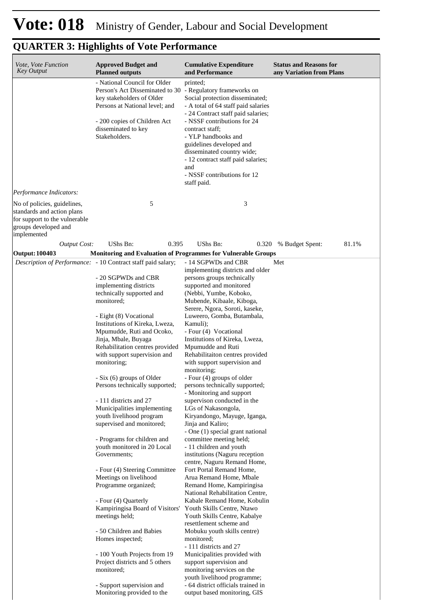| Vote, Vote Function<br><b>Key Output</b>                                                                                          | <b>Approved Budget and</b><br><b>Planned outputs</b>                                                                                                                                                                                                                                                                                                                                                                                                                                                                                                                                                                                                                                                                                                                                                                                                        | <b>Cumulative Expenditure</b><br>and Performance                                                                                                                                                                                                                                                                                                                                                                                                                                                                                                                                                                                                                                                                                                                                                                                                                                                                                                                                                                                       | <b>Status and Reasons for</b><br>any Variation from Plans |
|-----------------------------------------------------------------------------------------------------------------------------------|-------------------------------------------------------------------------------------------------------------------------------------------------------------------------------------------------------------------------------------------------------------------------------------------------------------------------------------------------------------------------------------------------------------------------------------------------------------------------------------------------------------------------------------------------------------------------------------------------------------------------------------------------------------------------------------------------------------------------------------------------------------------------------------------------------------------------------------------------------------|----------------------------------------------------------------------------------------------------------------------------------------------------------------------------------------------------------------------------------------------------------------------------------------------------------------------------------------------------------------------------------------------------------------------------------------------------------------------------------------------------------------------------------------------------------------------------------------------------------------------------------------------------------------------------------------------------------------------------------------------------------------------------------------------------------------------------------------------------------------------------------------------------------------------------------------------------------------------------------------------------------------------------------------|-----------------------------------------------------------|
|                                                                                                                                   | - National Council for Older<br>Person's Act Disseminated to 30 - Regulatory frameworks on<br>key stakeholders of Older<br>Persons at National level; and<br>- 200 copies of Children Act<br>disseminated to key<br>Stakeholders.                                                                                                                                                                                                                                                                                                                                                                                                                                                                                                                                                                                                                           | printed;<br>Social protection disseminated;<br>- A total of 64 staff paid salaries<br>- 24 Contract staff paid salaries;<br>- NSSF contributions for 24<br>contract staff;<br>- YLP handbooks and<br>guidelines developed and<br>disseminated country wide;<br>- 12 contract staff paid salaries;<br>and<br>- NSSF contributions for 12<br>staff paid.                                                                                                                                                                                                                                                                                                                                                                                                                                                                                                                                                                                                                                                                                 |                                                           |
| Performance Indicators:                                                                                                           |                                                                                                                                                                                                                                                                                                                                                                                                                                                                                                                                                                                                                                                                                                                                                                                                                                                             |                                                                                                                                                                                                                                                                                                                                                                                                                                                                                                                                                                                                                                                                                                                                                                                                                                                                                                                                                                                                                                        |                                                           |
| No of policies, guidelines,<br>standards and action plans<br>for support to the vulnerable<br>groups developed and<br>implemented | 5                                                                                                                                                                                                                                                                                                                                                                                                                                                                                                                                                                                                                                                                                                                                                                                                                                                           | 3                                                                                                                                                                                                                                                                                                                                                                                                                                                                                                                                                                                                                                                                                                                                                                                                                                                                                                                                                                                                                                      |                                                           |
| <b>Output Cost:</b>                                                                                                               | UShs Bn:<br>0.395                                                                                                                                                                                                                                                                                                                                                                                                                                                                                                                                                                                                                                                                                                                                                                                                                                           | UShs Bn:                                                                                                                                                                                                                                                                                                                                                                                                                                                                                                                                                                                                                                                                                                                                                                                                                                                                                                                                                                                                                               | 0.320 % Budget Spent:<br>81.1%                            |
|                                                                                                                                   |                                                                                                                                                                                                                                                                                                                                                                                                                                                                                                                                                                                                                                                                                                                                                                                                                                                             |                                                                                                                                                                                                                                                                                                                                                                                                                                                                                                                                                                                                                                                                                                                                                                                                                                                                                                                                                                                                                                        |                                                           |
| <b>Output: 100403</b>                                                                                                             | Monitoring and Evaluation of Programmes for Vulnerable Groups<br>Description of Performance: - 10 Contract staff paid salary;<br>- 20 SGPWDs and CBR<br>implementing districts<br>technically supported and<br>monitored;<br>- Eight (8) Vocational<br>Institutions of Kireka, Lweza,<br>Mpumudde, Ruti and Ocoko,<br>Jinja, Mbale, Buyaga<br>Rehabilitation centres provided<br>with support supervision and<br>monitoring;<br>- Six (6) groups of Older<br>Persons technically supported;<br>- 111 districts and 27<br>Municipalities implementing<br>youth livelihood program<br>supervised and monitored;<br>- Programs for children and<br>youth monitored in 20 Local<br>Governments;<br>- Four (4) Steering Committee<br>Meetings on livelihood<br>Programme organized;<br>- Four (4) Quarterly<br>Kampiringisa Board of Visitors'<br>meetings held; | - 14 SGPWDs and CBR<br>implementing districts and older<br>persons groups technically<br>supported and monitored<br>(Nebbi, Yumbe, Koboko,<br>Mubende, Kibaale, Kiboga,<br>Serere, Ngora, Soroti, kaseke,<br>Luweero, Gomba, Butambala,<br>Kamuli);<br>- Four (4) Vocational<br>Institutions of Kireka, Lweza,<br>Mpumudde and Ruti<br>Rehabilitaiton centres provided<br>with support supervision and<br>monitoring;<br>- Four (4) groups of older<br>persons technically supported;<br>- Monitoring and support<br>supervison conducted in the<br>LGs of Nakasongola,<br>Kiryandongo, Mayuge, Iganga,<br>Jinja and Kaliro;<br>- One (1) special grant national<br>committee meeting held;<br>- 11 children and youth<br>institutions (Naguru reception<br>centre, Naguru Remand Home,<br>Fort Portal Remand Home,<br>Arua Remand Home, Mbale<br>Remand Home, Kampiringisa<br>National Rehabilitation Centre,<br>Kabale Remand Home, Kobulin<br>Youth Skills Centre, Ntawo<br>Youth Skills Centre, Kabalye<br>resettlement scheme and | Met                                                       |
|                                                                                                                                   | - 50 Children and Babies<br>Homes inspected;<br>- 100 Youth Projects from 19<br>Project districts and 5 others<br>monitored;<br>- Support supervision and<br>Monitoring provided to the                                                                                                                                                                                                                                                                                                                                                                                                                                                                                                                                                                                                                                                                     | Mobuku youth skills centre)<br>monitored;<br>- 111 districts and 27<br>Municipalities provided with<br>support supervision and<br>monitoring services on the<br>youth livelihood programme;<br>- 64 district officials trained in<br>output based monitoring, GIS                                                                                                                                                                                                                                                                                                                                                                                                                                                                                                                                                                                                                                                                                                                                                                      |                                                           |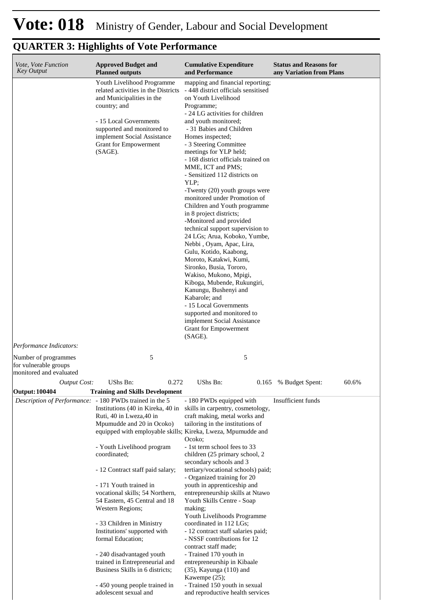#### **Cumulative Expenditure and Performance Approved Budget and Planned outputs Status and Reasons for any Variation from Plans** *Vote, Vote Function Key Output* Youth Livelihood Programme related activities in the Districts and Municipalities in the country; and - 15 Local Governments supported and monitored to implement Social Assistance Grant for Empowerment (SAGE). mapping and financial reporting; - 448 district officials sensitised on Youth Livelihood Programme; - 24 LG activities for children and youth monitored; - 31 Babies and Children Homes inspected; - 3 Steering Committee meetings for YLP held; - 168 district officials trained on MME, ICT and PMS; - Sensitized 112 districts on YLP; -Twenty (20) youth groups were monitored under Promotion of Children and Youth programme in 8 project districts; -Monitored and provided technical support supervision to 24 LGs; Arua, Koboko, Yumbe, Nebbi , Oyam, Apac, Lira, Gulu, Kotido, Kaabong, Moroto, Katakwi, Kumi, Sironko, Busia, Tororo, Wakiso, Mukono, Mpigi, Kiboga, Mubende, Rukungiri, Kanungu, Bushenyi and Kabarole; and - 15 Local Governments supported and monitored to implement Social Assistance Grant for Empowerment (SAGE). *Output Cost:* UShs Bn: 0.272 UShs Bn: 0.165 % Budget Spent: 60.6% *Performance Indicators:* Number of programmes for vulnerable groups monitored and evaluated 5 5 **Output: 100404 Training and Skills Development** *Description of Performance:* - 180 PWDs trained in the 5 Institutions (40 in Kireka, 40 in skills in carpentry, cosmetology, Ruti, 40 in Lweza,40 in Mpumudde and 20 in Ocoko) equipped with employable skills; Kireka, Lweza, Mpumudde and - Youth Livelihood program coordinated; - 12 Contract staff paid salary; - 171 Youth trained in vocational skills; 54 Northern, 54 Eastern, 45 Central and 18 Western Regions; - 33 Children in Ministry Institutions' supported with formal Education; - 240 disadvantaged youth trained in Entrepreneurial and Business Skills in 6 districts; - 450 young people trained in - 180 PWDs equipped with craft making, metal works and tailoring in the institutions of Ocoko; - 1st term school fees to 33 children (25 primary school, 2 secondary schools and 3 tertiary/vocational schools) paid; - Organized training for 20 youth in apprenticeship and entrepreneurship skills at Ntawo Youth Skills Centre - Soap making; Youth Livelihoods Programme coordinated in 112 LGs; - 12 contract staff salaries paid; - NSSF contributions for 12 contract staff made; - Trained 170 youth in entrepreneurship in Kibaale (35), Kayunga (110) and Kawempe (25); - Trained 150 youth in sexual Insufficient funds

and reproductive health services

### **QUARTER 3: Highlights of Vote Performance**

adolescent sexual and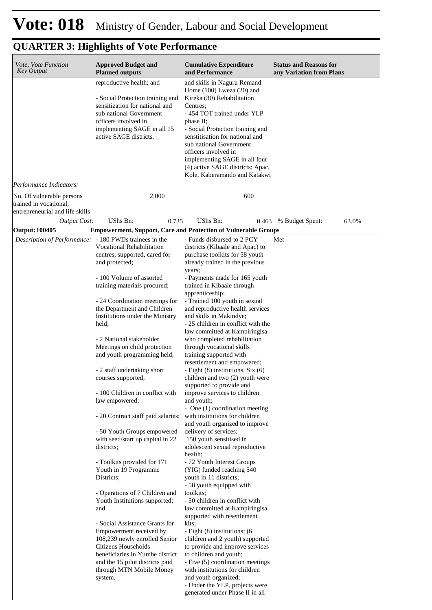| <i>Vote, Vote Function</i><br><b>Key Output</b>                                        | <b>Approved Budget and</b><br><b>Planned outputs</b>                                                                                                                                                                                                                                                                                                                                                                                                                                                                                                                                                                                                                                                                                                                                                                                                                                                                                                                | <b>Cumulative Expenditure</b><br>and Performance                                                                                                                                                                                                                                                                                                                                                                                                                                                                                                                                                                                                                                                                                                                                                                                                                                                                                                                                                                                                                                                                                                                                                                                                                                                                                                                 | <b>Status and Reasons for</b><br>any Variation from Plans |
|----------------------------------------------------------------------------------------|---------------------------------------------------------------------------------------------------------------------------------------------------------------------------------------------------------------------------------------------------------------------------------------------------------------------------------------------------------------------------------------------------------------------------------------------------------------------------------------------------------------------------------------------------------------------------------------------------------------------------------------------------------------------------------------------------------------------------------------------------------------------------------------------------------------------------------------------------------------------------------------------------------------------------------------------------------------------|------------------------------------------------------------------------------------------------------------------------------------------------------------------------------------------------------------------------------------------------------------------------------------------------------------------------------------------------------------------------------------------------------------------------------------------------------------------------------------------------------------------------------------------------------------------------------------------------------------------------------------------------------------------------------------------------------------------------------------------------------------------------------------------------------------------------------------------------------------------------------------------------------------------------------------------------------------------------------------------------------------------------------------------------------------------------------------------------------------------------------------------------------------------------------------------------------------------------------------------------------------------------------------------------------------------------------------------------------------------|-----------------------------------------------------------|
|                                                                                        | reproductive health; and<br>- Social Protection training and<br>sensitization for national and<br>sub national Government<br>officers involved in<br>implementing SAGE in all 15<br>active SAGE districts.                                                                                                                                                                                                                                                                                                                                                                                                                                                                                                                                                                                                                                                                                                                                                          | and skills in Naguru Remand<br>Home $(100)$ Lweza $(20)$ and<br>Kireka (30) Rehabilitation<br>Centres:<br>- 454 TOT trained under YLP<br>phase II;<br>- Social Protection training and<br>senstitisation for national and<br>sub national Government<br>officers involved in<br>implementing SAGE in all four<br>(4) active SAGE districts; Apac,<br>Kole, Kaberamaido and Katakwi                                                                                                                                                                                                                                                                                                                                                                                                                                                                                                                                                                                                                                                                                                                                                                                                                                                                                                                                                                               |                                                           |
| Performance Indicators:                                                                |                                                                                                                                                                                                                                                                                                                                                                                                                                                                                                                                                                                                                                                                                                                                                                                                                                                                                                                                                                     |                                                                                                                                                                                                                                                                                                                                                                                                                                                                                                                                                                                                                                                                                                                                                                                                                                                                                                                                                                                                                                                                                                                                                                                                                                                                                                                                                                  |                                                           |
| No. Of vulnerable persons<br>trained in vocational,<br>entrepreneurial and life skills | 2,000                                                                                                                                                                                                                                                                                                                                                                                                                                                                                                                                                                                                                                                                                                                                                                                                                                                                                                                                                               | 600                                                                                                                                                                                                                                                                                                                                                                                                                                                                                                                                                                                                                                                                                                                                                                                                                                                                                                                                                                                                                                                                                                                                                                                                                                                                                                                                                              |                                                           |
| <b>Output Cost:</b>                                                                    | UShs Bn:<br>0.735                                                                                                                                                                                                                                                                                                                                                                                                                                                                                                                                                                                                                                                                                                                                                                                                                                                                                                                                                   | UShs Bn:<br>0.463                                                                                                                                                                                                                                                                                                                                                                                                                                                                                                                                                                                                                                                                                                                                                                                                                                                                                                                                                                                                                                                                                                                                                                                                                                                                                                                                                | 63.0%<br>% Budget Spent:                                  |
| <b>Output: 100405</b>                                                                  | <b>Empowerment, Support, Care and Protection of Vulnerable Groups</b>                                                                                                                                                                                                                                                                                                                                                                                                                                                                                                                                                                                                                                                                                                                                                                                                                                                                                               |                                                                                                                                                                                                                                                                                                                                                                                                                                                                                                                                                                                                                                                                                                                                                                                                                                                                                                                                                                                                                                                                                                                                                                                                                                                                                                                                                                  |                                                           |
| Description of Performance: - 180 PWDs trainees in the                                 | Vocational Rehabilitation<br>centres, supported, cared for<br>and protected;<br>- 100 Volume of assorted<br>training materials procured;<br>- 24 Coordination meetings for<br>the Department and Children<br>Institutions under the Ministry<br>held;<br>- 2 National stakeholder<br>Meetings on child protection<br>and youth programming held;<br>- 2 staff undertaking short<br>courses supported;<br>- 100 Children in conflict with<br>law empowered;<br>- 20 Contract staff paid salaries;<br>- 50 Youth Groups empowered<br>with seed/start up capital in 22<br>districts;<br>- Toolkits provided for 171<br>Youth in 19 Programme<br>Districts;<br>- Operations of 7 Children and<br>Youth Institutions supported;<br>and<br>- Social Assistance Grants for<br>Empowerment received by<br>108,239 newly enrolled Senior<br>Citizens Households<br>beneficiaries in Yumbe district<br>and the 15 pilot districts paid<br>through MTN Mobile Money<br>system. | - Funds disbursed to 2 PCY<br>districts (Kibaale and Apac) to<br>purchase toolkits for 58 youth<br>already trained in the previous<br>years;<br>- Payments made for 165 youth<br>trained in Kibaale through<br>apprenticeship;<br>- Trained 100 youth in sexual<br>and reproductive health services<br>and skills in Makindye;<br>- 25 children in conflict with the<br>law committed at Kampiringisa<br>who completed rehabilitation<br>through vocational skills<br>training supported with<br>resettlement and empowered;<br>- Eight $(8)$ institutions, Six $(6)$<br>children and two (2) youth were<br>supported to provide and<br>improve services to children<br>and youth;<br>- One (1) coordination meeting<br>with institutions for children<br>and youth organized to improve<br>delivery of services;<br>150 youth sensitised in<br>adolescent sexual reproductive<br>health;<br>- 72 Youth Interest Groups<br>(YIG) funded reaching 540<br>youth in 11 districts;<br>- 58 youth equipped with<br>toolkits;<br>- 50 children in conflict with<br>law committed at Kampiringisa<br>supported with resettlement<br>kits;<br>- Eight (8) institutions; (6<br>children and 2 youth) supported<br>to provide and improve services<br>to children and youth;<br>- Five (5) coordination meetings<br>with institutions for children<br>and youth organized; | Met                                                       |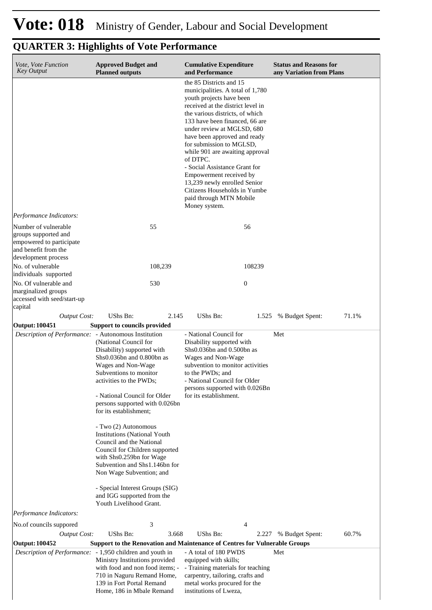| Vote, Vote Function                                  |                                                                                                                                                                                                                                                                                                                                                                                                                                                                                                                                                                           |                                                                                                                                                                                                                                                                                                                                                                                                                                                                                                                    | <b>Status and Reasons for</b>  |
|------------------------------------------------------|---------------------------------------------------------------------------------------------------------------------------------------------------------------------------------------------------------------------------------------------------------------------------------------------------------------------------------------------------------------------------------------------------------------------------------------------------------------------------------------------------------------------------------------------------------------------------|--------------------------------------------------------------------------------------------------------------------------------------------------------------------------------------------------------------------------------------------------------------------------------------------------------------------------------------------------------------------------------------------------------------------------------------------------------------------------------------------------------------------|--------------------------------|
| <b>Key Output</b>                                    | <b>Approved Budget and</b><br><b>Planned outputs</b>                                                                                                                                                                                                                                                                                                                                                                                                                                                                                                                      | <b>Cumulative Expenditure</b><br>and Performance                                                                                                                                                                                                                                                                                                                                                                                                                                                                   | any Variation from Plans       |
|                                                      |                                                                                                                                                                                                                                                                                                                                                                                                                                                                                                                                                                           | the 85 Districts and 15<br>municipalities. A total of 1,780<br>youth projects have been<br>received at the district level in<br>the various districts, of which<br>133 have been financed, 66 are<br>under review at MGLSD, 680<br>have been approved and ready<br>for submission to MGLSD,<br>while 901 are awaiting approval<br>of DTPC.<br>- Social Assistance Grant for<br>Empowerment received by<br>13,239 newly enrolled Senior<br>Citizens Households in Yumbe<br>paid through MTN Mobile<br>Money system. |                                |
| Performance Indicators:                              |                                                                                                                                                                                                                                                                                                                                                                                                                                                                                                                                                                           |                                                                                                                                                                                                                                                                                                                                                                                                                                                                                                                    |                                |
| Number of vulnerable                                 | 55                                                                                                                                                                                                                                                                                                                                                                                                                                                                                                                                                                        | 56                                                                                                                                                                                                                                                                                                                                                                                                                                                                                                                 |                                |
| groups supported and<br>empowered to participate     |                                                                                                                                                                                                                                                                                                                                                                                                                                                                                                                                                                           |                                                                                                                                                                                                                                                                                                                                                                                                                                                                                                                    |                                |
| and benefit from the                                 |                                                                                                                                                                                                                                                                                                                                                                                                                                                                                                                                                                           |                                                                                                                                                                                                                                                                                                                                                                                                                                                                                                                    |                                |
| development process                                  |                                                                                                                                                                                                                                                                                                                                                                                                                                                                                                                                                                           |                                                                                                                                                                                                                                                                                                                                                                                                                                                                                                                    |                                |
| No. of vulnerable<br>individuals supported           | 108,239                                                                                                                                                                                                                                                                                                                                                                                                                                                                                                                                                                   | 108239                                                                                                                                                                                                                                                                                                                                                                                                                                                                                                             |                                |
| No. Of vulnerable and                                | 530                                                                                                                                                                                                                                                                                                                                                                                                                                                                                                                                                                       | $\boldsymbol{0}$                                                                                                                                                                                                                                                                                                                                                                                                                                                                                                   |                                |
| marginalized groups                                  |                                                                                                                                                                                                                                                                                                                                                                                                                                                                                                                                                                           |                                                                                                                                                                                                                                                                                                                                                                                                                                                                                                                    |                                |
| accessed with seed/start-up<br>capital               |                                                                                                                                                                                                                                                                                                                                                                                                                                                                                                                                                                           |                                                                                                                                                                                                                                                                                                                                                                                                                                                                                                                    |                                |
| <b>Output Cost:</b>                                  | UShs Bn:<br>2.145                                                                                                                                                                                                                                                                                                                                                                                                                                                                                                                                                         | UShs Bn:                                                                                                                                                                                                                                                                                                                                                                                                                                                                                                           | 1.525 % Budget Spent:<br>71.1% |
| <b>Output: 100451</b>                                | Support to councils provided                                                                                                                                                                                                                                                                                                                                                                                                                                                                                                                                              |                                                                                                                                                                                                                                                                                                                                                                                                                                                                                                                    |                                |
| Description of Performance: - Autonomous Institution |                                                                                                                                                                                                                                                                                                                                                                                                                                                                                                                                                                           | - National Council for                                                                                                                                                                                                                                                                                                                                                                                                                                                                                             | Met                            |
|                                                      | (National Council for<br>Disability) supported with<br>Shs0.036bn and 0.800bn as<br>Wages and Non-Wage<br>Subventions to monitor<br>activities to the PWDs;<br>- National Council for Older<br>persons supported with 0.026bn<br>for its establishment;<br>- Two (2) Autonomous<br><b>Institutions (National Youth</b><br>Council and the National<br>Council for Children supported<br>with Shs0.259bn for Wage<br>Subvention and Shs1.146bn for<br>Non Wage Subvention; and<br>- Special Interest Groups (SIG)<br>and IGG supported from the<br>Youth Livelihood Grant. | Disability supported with<br>Shs0.036bn and 0.500bn as<br>Wages and Non-Wage<br>subvention to monitor activities<br>to the PWDs; and<br>- National Council for Older<br>persons supported with 0.026Bn<br>for its establishment.                                                                                                                                                                                                                                                                                   |                                |
| Performance Indicators:                              |                                                                                                                                                                                                                                                                                                                                                                                                                                                                                                                                                                           |                                                                                                                                                                                                                                                                                                                                                                                                                                                                                                                    |                                |
| No.of councils suppored                              | 3                                                                                                                                                                                                                                                                                                                                                                                                                                                                                                                                                                         | 4                                                                                                                                                                                                                                                                                                                                                                                                                                                                                                                  |                                |
| <b>Output Cost:</b>                                  | UShs Bn:<br>3.668                                                                                                                                                                                                                                                                                                                                                                                                                                                                                                                                                         | UShs Bn:<br>2.227                                                                                                                                                                                                                                                                                                                                                                                                                                                                                                  | 60.7%<br>% Budget Spent:       |
| <b>Output: 100452</b>                                |                                                                                                                                                                                                                                                                                                                                                                                                                                                                                                                                                                           | <b>Support to the Renovation and Maintenance of Centres for Vulnerable Groups</b>                                                                                                                                                                                                                                                                                                                                                                                                                                  |                                |
|                                                      | Description of Performance: - 1,950 children and youth in<br>Ministry Institutions provided<br>with food and non food items; -<br>710 in Naguru Remand Home,<br>139 in Fort Portal Remand<br>Home, 186 in Mbale Remand                                                                                                                                                                                                                                                                                                                                                    | - A total of 180 PWDS<br>equipped with skills;<br>- Training materials for teaching<br>carpentry, tailoring, crafts and<br>metal works procured for the<br>institutions of Lweza,                                                                                                                                                                                                                                                                                                                                  | Met                            |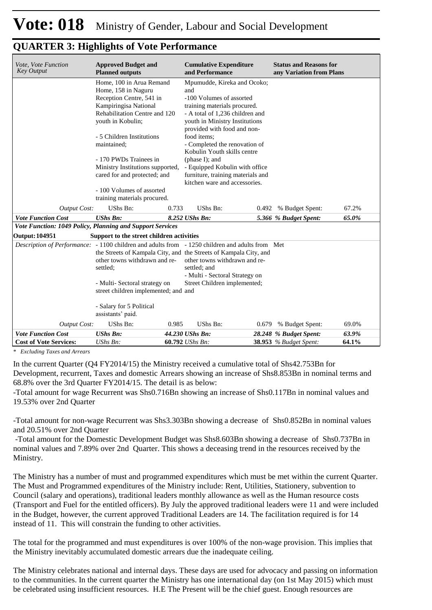| <b>Approved Budget and</b><br><b>Cumulative Expenditure</b><br><b>Status and Reasons for</b><br><b>Key Output</b><br><b>Planned outputs</b><br>and Performance<br>any Variation from Plans<br>Home, 100 in Arua Remand<br>Mpumudde, Kireka and Ocoko;<br>Home, 158 in Naguru<br>and<br>Reception Centre, 541 in<br>-100 Volumes of assorted<br>Kampiringisa National<br>training materials procured.<br>Rehabilitation Centre and 120<br>- A total of 1.236 children and<br>youth in Kobulin;<br>youth in Ministry Institutions<br>provided with food and non-<br>- 5 Children Institutions<br>food items;<br>- Completed the renovation of<br>maintained;<br>Kobulin Youth skills centre<br>- 170 PWDs Trainees in<br>(phase I); and<br>Ministry Institutions supported,<br>- Equipped Kobulin with office<br>furniture, training materials and<br>cared for and protected; and<br>kitchen ware and accessories.<br>- 100 Volumes of assorted<br>training materials procured.                                                                                     |             |  |  |  |  |       |  |  |  |
|--------------------------------------------------------------------------------------------------------------------------------------------------------------------------------------------------------------------------------------------------------------------------------------------------------------------------------------------------------------------------------------------------------------------------------------------------------------------------------------------------------------------------------------------------------------------------------------------------------------------------------------------------------------------------------------------------------------------------------------------------------------------------------------------------------------------------------------------------------------------------------------------------------------------------------------------------------------------------------------------------------------------------------------------------------------------|-------------|--|--|--|--|-------|--|--|--|
| Vote, Vote Function<br>UShs Bn:<br>0.733<br>UShs Bn:<br>67.2%<br><b>Output Cost:</b><br>0.492<br>% Budget Spent:<br><b>Vote Function Cost</b><br><b>UShs Bn:</b><br>8.252 UShs Bn:<br>5.366 % Budget Spent:<br>65.0%<br>Vote Function: 1049 Policy, Planning and Support Services<br>Output: 104951<br>Support to the street children activities<br>Description of Performance: - 1100 children and adults from - 1250 children and adults from Met<br>the Streets of Kampala City, and the Streets of Kampala City, and<br>other towns withdrawn and re-<br>other towns withdrawn and re-<br>settled; and<br>settled;<br>- Multi - Sectoral Strategy on<br>- Multi- Sectoral strategy on<br>Street Children implemented;<br>street children implemented; and and<br>- Salary for 5 Political<br>assistants' paid.<br>UShs Bn:<br>UShs Bn:<br>0.985<br>69.0%<br><b>Output Cost:</b><br>% Budget Spent:<br>0.679<br><b>Vote Function Cost</b><br><b>UShs Bn:</b><br>44.230 UShs Bn:<br>28.248 % Budget Spent:<br>63.9%<br>60.792 UShs Bn:<br>38.953 % Budget Spent: |             |  |  |  |  |       |  |  |  |
|                                                                                                                                                                                                                                                                                                                                                                                                                                                                                                                                                                                                                                                                                                                                                                                                                                                                                                                                                                                                                                                                    |             |  |  |  |  |       |  |  |  |
|                                                                                                                                                                                                                                                                                                                                                                                                                                                                                                                                                                                                                                                                                                                                                                                                                                                                                                                                                                                                                                                                    |             |  |  |  |  |       |  |  |  |
|                                                                                                                                                                                                                                                                                                                                                                                                                                                                                                                                                                                                                                                                                                                                                                                                                                                                                                                                                                                                                                                                    |             |  |  |  |  |       |  |  |  |
|                                                                                                                                                                                                                                                                                                                                                                                                                                                                                                                                                                                                                                                                                                                                                                                                                                                                                                                                                                                                                                                                    |             |  |  |  |  |       |  |  |  |
|                                                                                                                                                                                                                                                                                                                                                                                                                                                                                                                                                                                                                                                                                                                                                                                                                                                                                                                                                                                                                                                                    |             |  |  |  |  |       |  |  |  |
|                                                                                                                                                                                                                                                                                                                                                                                                                                                                                                                                                                                                                                                                                                                                                                                                                                                                                                                                                                                                                                                                    |             |  |  |  |  |       |  |  |  |
|                                                                                                                                                                                                                                                                                                                                                                                                                                                                                                                                                                                                                                                                                                                                                                                                                                                                                                                                                                                                                                                                    |             |  |  |  |  |       |  |  |  |
|                                                                                                                                                                                                                                                                                                                                                                                                                                                                                                                                                                                                                                                                                                                                                                                                                                                                                                                                                                                                                                                                    |             |  |  |  |  |       |  |  |  |
| <b>Cost of Vote Services:</b>                                                                                                                                                                                                                                                                                                                                                                                                                                                                                                                                                                                                                                                                                                                                                                                                                                                                                                                                                                                                                                      | $UShs Bn$ : |  |  |  |  | 64.1% |  |  |  |

*\* Excluding Taxes and Arrears*

In the current Quarter (Q4 FY2014/15) the Ministry received a cumulative total of Shs42.753Bn for Development, recurrent, Taxes and domestic Arrears showing an increase of Shs8.853Bn in nominal terms and 68.8% over the 3rd Quarter FY2014/15. The detail is as below:

-Total amount for wage Recurrent was Shs0.716Bn showing an increase of Shs0.117Bn in nominal values and 19.53% over 2nd Quarter

-Total amount for non-wage Recurrent was Shs3.303Bn showing a decrease of Shs0.852Bn in nominal values and 20.51% over 2nd Quarter

 -Total amount for the Domestic Development Budget was Shs8.603Bn showing a decrease of Shs0.737Bn in nominal values and 7.89% over 2nd Quarter. This shows a deceasing trend in the resources received by the Ministry.

The Ministry has a number of must and programmed expenditures which must be met within the current Quarter. The Must and Programmed expenditures of the Ministry include: Rent, Utilities, Stationery, subvention to Council (salary and operations), traditional leaders monthly allowance as well as the Human resource costs (Transport and Fuel for the entitled officers). By July the approved traditional leaders were 11 and were included in the Budget, however, the current approved Traditional Leaders are 14. The facilitation required is for 14 instead of 11. This will constrain the funding to other activities.

The total for the programmed and must expenditures is over 100% of the non-wage provision. This implies that the Ministry inevitably accumulated domestic arrears due the inadequate ceiling.

The Ministry celebrates national and internal days. These days are used for advocacy and passing on information to the communities. In the current quarter the Ministry has one international day (on 1st May 2015) which must be celebrated using insufficient resources. H.E The Present will be the chief guest. Enough resources are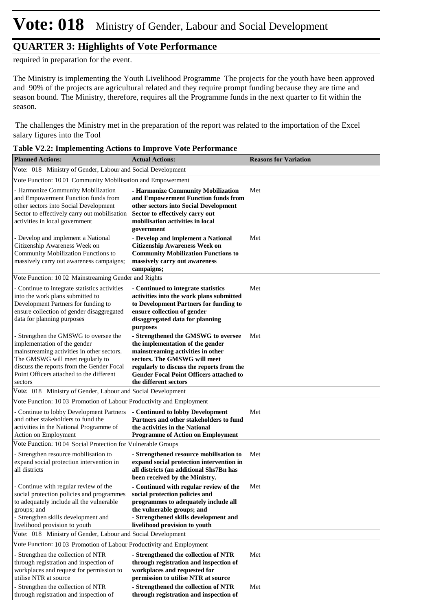# **Vote: 018** Ministry of Gender, Labour and Social Development

### **QUARTER 3: Highlights of Vote Performance**

required in preparation for the event.

The Ministry is implementing the Youth Livelihood Programme The projects for the youth have been approved and 90% of the projects are agricultural related and they require prompt funding because they are time and season bound. The Ministry, therefore, requires all the Programme funds in the next quarter to fit within the season.

 The challenges the Ministry met in the preparation of the report was related to the importation of the Excel salary figures into the Tool

| <b>Planned Actions:</b>                                                                                                                                                                                                                                     | <b>Actual Actions:</b>                                                                                                                                                                                                                                               | <b>Reasons for Variation</b> |
|-------------------------------------------------------------------------------------------------------------------------------------------------------------------------------------------------------------------------------------------------------------|----------------------------------------------------------------------------------------------------------------------------------------------------------------------------------------------------------------------------------------------------------------------|------------------------------|
| Vote: 018 Ministry of Gender, Labour and Social Development                                                                                                                                                                                                 |                                                                                                                                                                                                                                                                      |                              |
| Vote Function: 1001 Community Mobilisation and Empowerment                                                                                                                                                                                                  |                                                                                                                                                                                                                                                                      |                              |
| - Harmonize Community Mobilization<br>and Empowerment Function funds from<br>other sectors into Social Development<br>Sector to effectively carry out mobilisation<br>activities in local government                                                        | - Harmonize Community Mobilization<br>and Empowerment Function funds from<br>other sectors into Social Development<br>Sector to effectively carry out<br>mobilisation activities in local<br>government                                                              | Met                          |
| - Develop and implement a National<br>Citizenship Awareness Week on<br>Community Mobilization Functions to<br>massively carry out awareness campaigns;                                                                                                      | - Develop and implement a National<br><b>Citizenship Awareness Week on</b><br><b>Community Mobilization Functions to</b><br>massively carry out awareness<br>campaigns;                                                                                              | Met                          |
| Vote Function: 1002 Mainstreaming Gender and Rights                                                                                                                                                                                                         |                                                                                                                                                                                                                                                                      |                              |
| - Continue to integrate statistics activities<br>into the work plans submitted to<br>Development Partners for funding to<br>ensure collection of gender disaggregated<br>data for planning purposes                                                         | - Continued to integrate statistics<br>activities into the work plans submitted<br>to Development Partners for funding to<br>ensure collection of gender<br>disaggregated data for planning<br>purposes                                                              | Met                          |
| - Strengthen the GMSWG to oversee the<br>implementation of the gender<br>mainstreaming activities in other sectors.<br>The GMSWG will meet regularly to<br>discuss the reports from the Gender Focal<br>Point Officers attached to the different<br>sectors | - Strengthened the GMSWG to oversee<br>the implementation of the gender<br>mainstreaming activities in other<br>sectors. The GMSWG will meet<br>regularly to discuss the reports from the<br><b>Gender Focal Point Officers attached to</b><br>the different sectors | Met                          |
| Vote: 018 Ministry of Gender, Labour and Social Development                                                                                                                                                                                                 |                                                                                                                                                                                                                                                                      |                              |
| Vote Function: 1003 Promotion of Labour Productivity and Employment                                                                                                                                                                                         |                                                                                                                                                                                                                                                                      |                              |
| - Continue to lobby Development Partners<br>and other stakeholders to fund the<br>activities in the National Programme of<br>Action on Employment                                                                                                           | - Continued to lobby Development<br>Partners and other stakeholders to fund<br>the activities in the National<br><b>Programme of Action on Employment</b>                                                                                                            | Met                          |
| Vote Function: 1004 Social Protection for Vulnerable Groups                                                                                                                                                                                                 |                                                                                                                                                                                                                                                                      |                              |
| - Strengthen resource mobilisation to<br>expand social protection intervention in<br>all districts                                                                                                                                                          | - Strengthened resource mobilisation to<br>expand social protection intervention in<br>all districts (an additional Shs7Bn has<br>been received by the Ministry.                                                                                                     | Met                          |
| - Continue with regular review of the<br>social protection policies and programmes<br>to adequately include all the vulnerable<br>groups; and<br>- Strengthen skills development and<br>livelihood provision to youth                                       | - Continued with regular review of the<br>social protection policies and<br>programmes to adequately include all<br>the vulnerable groups; and<br>- Strengthened skills development and<br>livelihood provision to youth                                             | Met                          |
| Vote: 018 Ministry of Gender, Labour and Social Development                                                                                                                                                                                                 |                                                                                                                                                                                                                                                                      |                              |
| Vote Function: 1003 Promotion of Labour Productivity and Employment                                                                                                                                                                                         |                                                                                                                                                                                                                                                                      |                              |
| - Strengthen the collection of NTR<br>through registration and inspection of<br>workplaces and request for permission to<br>utilise NTR at source                                                                                                           | - Strengthened the collection of NTR<br>through registration and inspection of<br>workplaces and requested for<br>permission to utilise NTR at source                                                                                                                | Met                          |
| - Strengthen the collection of NTR<br>through registration and inspection of                                                                                                                                                                                | - Strengthened the collection of NTR<br>through registration and inspection of                                                                                                                                                                                       | Met                          |

| Table V2.2: Implementing Actions to Improve Vote Performance |
|--------------------------------------------------------------|
|--------------------------------------------------------------|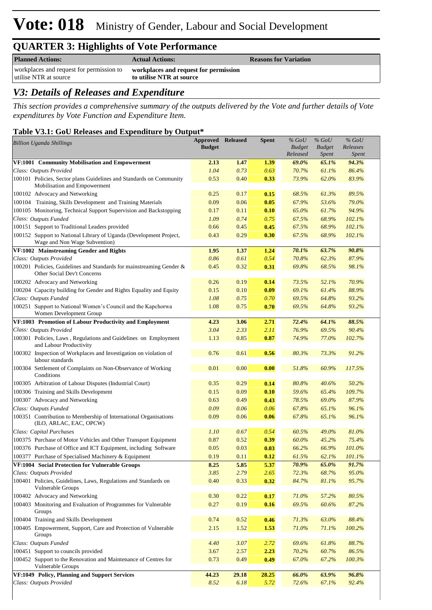# **Vote: 018** Ministry of Gender, Labour and Social Development

### **QUARTER 3: Highlights of Vote Performance**

| <b>Planned Actions:</b>                                                                                 | <b>Actual Actions:</b>   | <b>Reasons for Variation</b> |
|---------------------------------------------------------------------------------------------------------|--------------------------|------------------------------|
| workplaces and request for permission to workplaces and request for permission<br>utilise NTR at source | to utilise NTR at source |                              |

### *V3: Details of Releases and Expenditure*

*This section provides a comprehensive summary of the outputs delivered by the Vote and further details of Vote expenditures by Vote Function and Expenditure Item.*

#### **Table V3.1: GoU Releases and Expenditure by Output\***

| <b>Billion Uganda Shillings</b>                                                                     | <b>Approved Released</b><br><b>Budget</b> |       | Spent | $%$ GoU<br><b>Budget</b> | $%$ GoU<br><b>Budget</b> | $%$ GoU<br>Releases   |  |
|-----------------------------------------------------------------------------------------------------|-------------------------------------------|-------|-------|--------------------------|--------------------------|-----------------------|--|
| VF:1001 Community Mobilisation and Empowerment                                                      | 2.13                                      | 1.47  | 1.39  | Released<br>69.0%        | <i>Spent</i><br>65.1%    | <i>Spent</i><br>94.3% |  |
| Class: Outputs Provided                                                                             | 1.04                                      | 0.73  | 0.63  | 70.7%                    | 61.1%                    | 86.4%                 |  |
| 100101 Policies, Sector plans Guidelines and Standards on Community<br>Mobilisation and Empowerment | 0.53                                      | 0.40  | 0.33  | 73.9%                    | 62.0%                    | 83.9%                 |  |
| 100102 Advocacy and Networking                                                                      | 0.25                                      | 0.17  | 0.15  | 68.5%                    | 61.3%                    | 89.5%                 |  |
| 100104 Training, Skills Development and Training Materials                                          | 0.09                                      | 0.06  | 0.05  | 67.9%                    | 53.6%                    | 79.0%                 |  |
| 100105 Monitoring, Technical Support Supervision and Backstopping                                   | 0.17                                      | 0.11  | 0.10  | 65.0%                    | 61.7%                    | 94.9%                 |  |
| Class: Outputs Funded                                                                               | 1.09                                      | 0.74  | 0.75  | 67.5%                    | 68.9%                    | 102.1%                |  |
| 100151 Support to Traditional Leaders provided                                                      | 0.66                                      | 0.45  | 0.45  | 67.5%                    | 68.9%                    | 102.1%                |  |
| 100152 Support to National Library of Uganda (Development Project,<br>Wage and Non Wage Subvention) | 0.43                                      | 0.29  | 0.30  | 67.5%                    | 68.9%                    | 102.1%                |  |
| VF:1002 Mainstreaming Gender and Rights                                                             | 1.95                                      | 1.37  | 1.24  | 70.1%                    | 63.7%                    | 90.8%                 |  |
| Class: Outputs Provided                                                                             | 0.86                                      | 0.61  | 0.54  | 70.8%                    | 62.3%                    | 87.9%                 |  |
| 100201 Policies, Guidelines and Standards for mainstreaming Gender &<br>Other Social Dev't Concerns | 0.45                                      | 0.32  | 0.31  | 69.8%                    | 68.5%                    | 98.1%                 |  |
| 100202 Advocacy and Networking                                                                      | 0.26                                      | 0.19  | 0.14  | 73.5%                    | 52.1%                    | 70.9%                 |  |
| 100204 Capacity building for Gender and Rights Equality and Equity                                  | 0.15                                      | 0.10  | 0.09  | 69.1%                    | 61.4%                    | 88.9%                 |  |
| Class: Outputs Funded                                                                               | 1.08                                      | 0.75  | 0.70  | 69.5%                    | 64.8%                    | 93.2%                 |  |
| 100251 Support to National Women's Council and the Kapchorwa<br>Women Development Group             | 1.08                                      | 0.75  | 0.70  | 69.5%                    | 64.8%                    | 93.2%                 |  |
| VF:1003 Promotion of Labour Productivity and Employment                                             | 4.23                                      | 3.06  | 2.71  | 72.4%                    | 64.1%                    | 88.5%                 |  |
| Class: Outputs Provided                                                                             | 3.04                                      | 2.33  | 2.11  | 76.9%                    | 69.5%                    | 90.4%                 |  |
| 100301 Policies, Laws, Regulations and Guidelines on Employment<br>and Labour Productivity          | 1.13                                      | 0.85  | 0.87  | 74.9%                    | 77.0%                    | 102.7%                |  |
| 100302 Inspection of Workplaces and Investigation on violation of<br>labour standards               | 0.76                                      | 0.61  | 0.56  | 80.3%                    | 73.3%                    | 91.2%                 |  |
| 100304 Settlement of Complaints on Non-Observance of Working<br>Conditions                          | 0.01                                      | 0.00  | 0.00  | 51.8%                    | 60.9%                    | 117.5%                |  |
| 100305 Arbitration of Labour Disputes (Industrial Court)                                            | 0.35                                      | 0.29  | 0.14  | 80.8%                    | 40.6%                    | 50.2%                 |  |
| 100306 Training and Skills Development                                                              | 0.15                                      | 0.09  | 0.10  | 59.6%                    | 65.4%                    | 109.7%                |  |
| 100307 Advocacy and Networking                                                                      | 0.63                                      | 0.49  | 0.43  | 78.5%                    | 69.0%                    | 87.9%                 |  |
| Class: Outputs Funded                                                                               | 0.09                                      | 0.06  | 0.06  | 67.8%                    | 65.1%                    | 96.1%                 |  |
| 100351 Contribution to Membership of International Organisations<br>(ILO, ARLAC, EAC, OPCW)         | 0.09                                      | 0.06  | 0.06  | 67.8%                    | 65.1%                    | 96.1%                 |  |
| Class: Capital Purchases                                                                            | 1.10                                      | 0.67  | 0.54  | 60.5%                    | 49.0%                    | 81.0%                 |  |
| 100375 Purchase of Motor Vehicles and Other Transport Equipment                                     | 0.87                                      | 0.52  | 0.39  | 60.0%                    | 45.2%                    | 75.4%                 |  |
| 100376 Purchase of Office and ICT Equipment, including Software                                     | 0.05                                      | 0.03  | 0.03  | 66.2%                    | 66.9%                    | 101.0%                |  |
| 100377 Purchase of Specialised Machinery & Equipment                                                | 0.19                                      | 0.11  | 0.12  | 61.5%                    | 62.1%                    | 101.1%                |  |
| VF:1004 Social Protection for Vulnerable Groups                                                     | 8.25                                      | 5.85  | 5.37  | 70.9%                    | <b>65.0%</b>             | 91.7%                 |  |
| Class: Outputs Provided                                                                             | 3.85                                      | 2.79  | 2.65  | 72.3%                    | 68.7%                    | 95.0%                 |  |
| 100401 Policies, Guidelines, Laws, Regulations and Standards on<br>Vulnerable Groups                | 0.40                                      | 0.33  | 0.32  | 84.7%                    | 81.1%                    | 95.7%                 |  |
| 100402 Advocacy and Networking                                                                      | 0.30                                      | 0.22  | 0.17  | 71.0%                    | 57.2%                    | 80.5%                 |  |
| 100403 Monitoring and Evaluation of Programmes for Vulnerable<br>Groups                             | 0.27                                      | 0.19  | 0.16  | 69.5%                    | 60.6%                    | 87.2%                 |  |
| 100404 Training and Skills Development                                                              | 0.74                                      | 0.52  | 0.46  | 71.3%                    | 63.0%                    | 88.4%                 |  |
| 100405 Empowerment, Support, Care and Protection of Vulnerable<br>Groups                            | 2.15                                      | 1.52  | 1.53  | 71.0%                    | 71.1%                    | 100.2%                |  |
| Class: Outputs Funded                                                                               | 4.40                                      | 3.07  | 2.72  | 69.6%                    | 61.8%                    | 88.7%                 |  |
| 100451 Support to councils provided                                                                 | 3.67                                      | 2.57  | 2.23  | 70.2%                    | 60.7%                    | 86.5%                 |  |
| 100452 Support to the Renovation and Maintenance of Centres for<br>Vulnerable Groups                | 0.73                                      | 0.49  | 0.49  | 67.0%                    | 67.2%                    | 100.3%                |  |
| VF:1049 Policy, Planning and Support Services                                                       | 44.23                                     | 29.18 | 28.25 | 66.0%                    | 63.9%                    | 96.8%                 |  |
| Class: Outputs Provided                                                                             | 8.52                                      | 6.18  | 5.72  | 72.6%                    | 67.1%                    | 92.4%                 |  |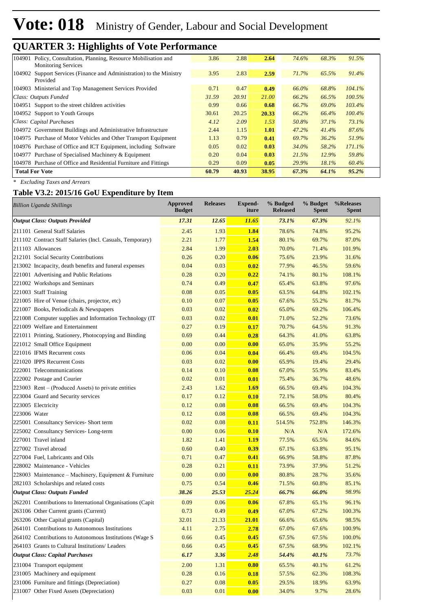# **Vote: 018** Ministry of Gender, Labour and Social Development

### **QUARTER 3: Highlights of Vote Performance**

| 3.86  | 2.88  | 2.64  | 74.6% | 68.3% | 91.5%     |
|-------|-------|-------|-------|-------|-----------|
| 3.95  | 2.83  | 2.59  | 71.7% | 65.5% | 91.4%     |
| 0.71  | 0.47  | 0.49  | 66.0% | 68.8% | 104.1%    |
| 31.59 | 20.91 | 21.00 | 66.2% | 66.5% | 100.5%    |
| 0.99  | 0.66  | 0.68  | 66.7% | 69.0% | 103.4%    |
| 30.61 | 20.25 | 20.33 | 66.2% | 66.4% | $100.4\%$ |
| 4.12  | 2.09  | 1.53  | 50.8% | 37.1% | 73.1%     |
| 2.44  | 1.15  | 1.01  | 47.2% | 41.4% | 87.6%     |
| 1.13  | 0.79  | 0.41  | 69.7% | 36.2% | 51.9%     |
| 0.05  | 0.02  | 0.03  | 34.0% | 58.2% | 171.1%    |
| 0.20  | 0.04  | 0.03  | 21.5% | 12.9% | 59.8%     |
| 0.29  | 0.09  | 0.05  | 29.9% | 18.1% | 60.4%     |
| 60.79 | 40.93 | 38.95 | 67.3% | 64.1% | 95.2%     |
|       |       |       |       |       |           |

*\* Excluding Taxes and Arrears*

#### **Table V3.2: 2015/16 GoU Expenditure by Item**

| <b>Billion Uganda Shillings</b>                            | <b>Approved</b><br><b>Budget</b> | <b>Releases</b> | <b>Expend-</b><br>iture | % Budged<br><b>Released</b> | % Budget<br><b>Spent</b> | %Releases<br>Spent |
|------------------------------------------------------------|----------------------------------|-----------------|-------------------------|-----------------------------|--------------------------|--------------------|
| <b>Output Class: Outputs Provided</b>                      | 17.31                            | 12.65           | 11.65                   | 73.1%                       | 67.3%                    | 92.1%              |
| 211101 General Staff Salaries                              | 2.45                             | 1.93            | 1.84                    | 78.6%                       | 74.8%                    | 95.2%              |
| 211102 Contract Staff Salaries (Incl. Casuals, Temporary)  | 2.21                             | 1.77            | 1.54                    | 80.1%                       | 69.7%                    | 87.0%              |
| 211103 Allowances                                          | 2.84                             | 1.99            | 2.03                    | 70.0%                       | 71.4%                    | 101.9%             |
| 212101 Social Security Contributions                       | 0.26                             | 0.20            | 0.06                    | 75.6%                       | 23.9%                    | 31.6%              |
| 213002 Incapacity, death benefits and funeral expenses     | 0.04                             | 0.03            | 0.02                    | 77.9%                       | 46.5%                    | 59.6%              |
| 221001 Advertising and Public Relations                    | 0.28                             | 0.20            | 0.22                    | 74.1%                       | 80.1%                    | 108.1%             |
| 221002 Workshops and Seminars                              | 0.74                             | 0.49            | 0.47                    | 65.4%                       | 63.8%                    | 97.6%              |
| 221003 Staff Training                                      | 0.08                             | 0.05            | 0.05                    | 63.5%                       | 64.8%                    | 102.1%             |
| 221005 Hire of Venue (chairs, projector, etc)              | 0.10                             | 0.07            | 0.05                    | 67.6%                       | 55.2%                    | 81.7%              |
| 221007 Books, Periodicals & Newspapers                     | 0.03                             | 0.02            | 0.02                    | 65.0%                       | 69.2%                    | 106.4%             |
| 221008 Computer supplies and Information Technology (IT)   | 0.03                             | 0.02            | 0.01                    | 71.0%                       | 52.2%                    | 73.6%              |
| 221009 Welfare and Entertainment                           | 0.27                             | 0.19            | 0.17                    | 70.7%                       | 64.5%                    | 91.3%              |
| 221011 Printing, Stationery, Photocopying and Binding      | 0.69                             | 0.44            | 0.28                    | 64.3%                       | 41.0%                    | 63.8%              |
| 221012 Small Office Equipment                              | 0.00                             | 0.00            | 0.00                    | 65.0%                       | 35.9%                    | 55.2%              |
| 221016 IFMS Recurrent costs                                | 0.06                             | 0.04            | 0.04                    | 66.4%                       | 69.4%                    | 104.5%             |
| 221020 IPPS Recurrent Costs                                | 0.03                             | 0.02            | 0.00                    | 65.9%                       | 19.4%                    | 29.4%              |
| 222001 Telecommunications                                  | 0.14                             | 0.10            | 0.08                    | 67.0%                       | 55.9%                    | 83.4%              |
| 222002 Postage and Courier                                 | 0.02                             | 0.01            | 0.01                    | 75.4%                       | 36.7%                    | 48.6%              |
| $223003$ Rent – (Produced Assets) to private entities      | 2.43                             | 1.62            | 1.69                    | 66.5%                       | 69.4%                    | 104.3%             |
| 223004 Guard and Security services                         | 0.17                             | 0.12            | 0.10                    | 72.1%                       | 58.0%                    | 80.4%              |
| 223005 Electricity                                         | 0.12                             | 0.08            | 0.08                    | 66.5%                       | 69.4%                    | 104.3%             |
| 223006 Water                                               | 0.12                             | 0.08            | 0.08                    | 66.5%                       | 69.4%                    | 104.3%             |
| 225001 Consultancy Services- Short term                    | 0.02                             | 0.08            | 0.11                    | 514.5%                      | 752.8%                   | 146.3%             |
| 225002 Consultancy Services-Long-term                      | 0.00                             | 0.06            | 0.10                    | N/A                         | N/A                      | 172.6%             |
| 227001 Travel inland                                       | 1.82                             | 1.41            | 1.19                    | 77.5%                       | 65.5%                    | 84.6%              |
| 227002 Travel abroad                                       | 0.60                             | 0.40            | 0.39                    | 67.1%                       | 63.8%                    | 95.1%              |
| 227004 Fuel, Lubricants and Oils                           | 0.71                             | 0.47            | 0.41                    | 66.9%                       | 58.8%                    | 87.8%              |
| 228002 Maintenance - Vehicles                              | 0.28                             | 0.21            | 0.11                    | 73.9%                       | 37.9%                    | 51.2%              |
| 228003 Maintenance – Machinery, Equipment & Furniture      | 0.00                             | 0.00            | 0.00                    | 80.8%                       | 28.7%                    | 35.6%              |
| 282103 Scholarships and related costs                      | 0.75                             | 0.54            | 0.46                    | 71.5%                       | 60.8%                    | 85.1%              |
| <b>Output Class: Outputs Funded</b>                        | 38.26                            | 25.53           | <u>25.24</u>            | 66.7%                       | 66.0%                    | 98.9%              |
| 262201 Contributions to International Organisations (Capit | 0.09                             | 0.06            | 0.06                    | 67.8%                       | 65.1%                    | 96.1%              |
| 263106 Other Current grants (Current)                      | 0.73                             | 0.49            | 0.49                    | 67.0%                       | 67.2%                    | 100.3%             |
| 263206 Other Capital grants (Capital)                      | 32.01                            | 21.33           | 21.01                   | 66.6%                       | 65.6%                    | 98.5%              |
| 264101 Contributions to Autonomous Institutions            | 4.11                             | 2.75            | 2.78                    | 67.0%                       | 67.6%                    | 100.9%             |
| 264102 Contributions to Autonomous Institutions (Wage S)   | 0.66                             | 0.45            | 0.45                    | 67.5%                       | 67.5%                    | 100.0%             |
| 264103 Grants to Cultural Institutions/ Leaders            | 0.66                             | 0.45            | 0.45                    | 67.5%                       | 68.9%                    | 102.1%             |
| <b>Output Class: Capital Purchases</b>                     | 6.17                             | 3.36            | 2.48                    | 54.4%                       | 40.1%                    | 73.7%              |
| 231004 Transport equipment                                 | 2.00                             | 1.31            | 0.80                    | 65.5%                       | 40.1%                    | 61.2%              |
| 231005 Machinery and equipment                             | 0.28                             | 0.16            | 0.18                    | 57.5%                       | 62.3%                    | 108.3%             |
| 231006 Furniture and fittings (Depreciation)               | 0.27                             | 0.08            | 0.05                    | 29.5%                       | 18.9%                    | 63.9%              |
| 231007 Other Fixed Assets (Depreciation)                   | 0.03                             | 0.01            | 0.00                    | 34.0%                       | 9.7%                     | 28.6%              |